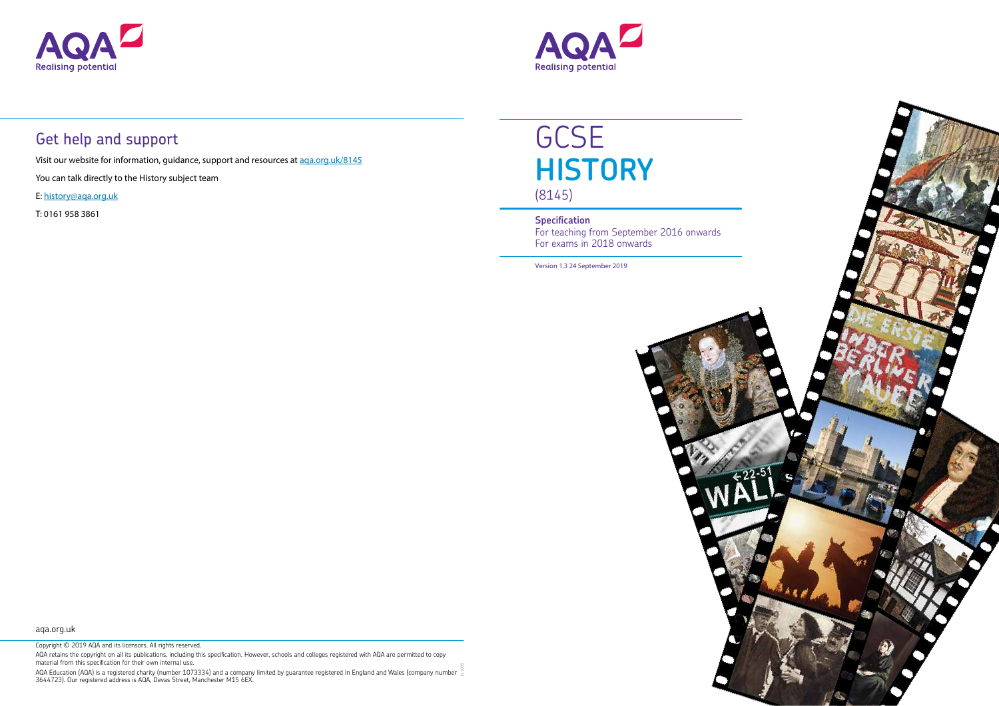

# **GCSE HISTORY** (8145)

**Specification** For teaching from September 2016 onwards For exams in 2018 onwards

Version 1.3 24 September 2019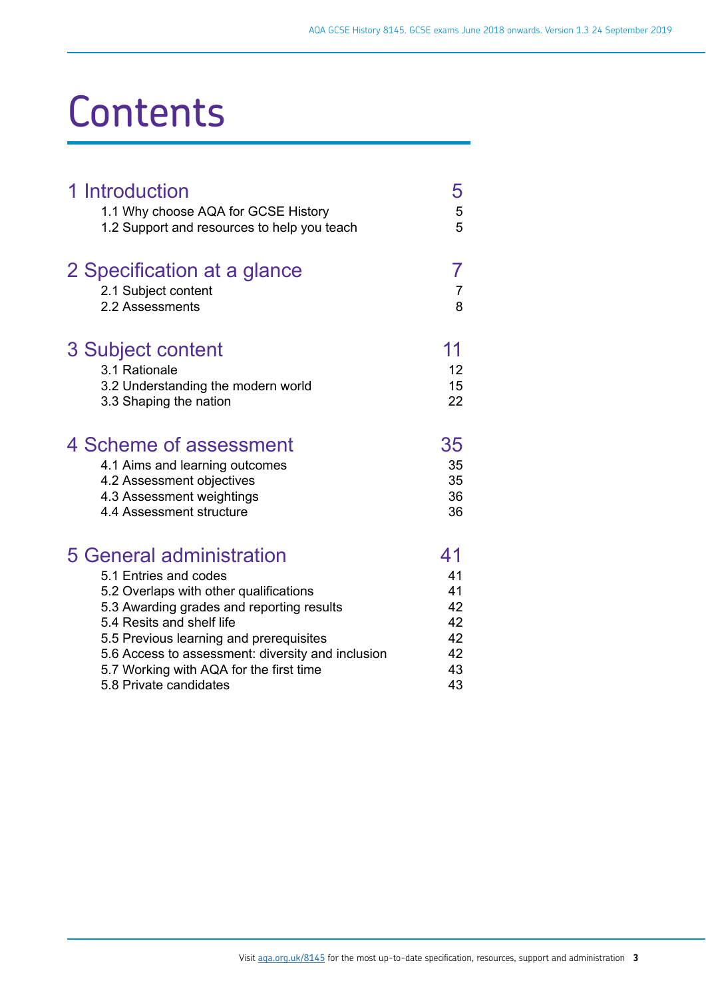# **Contents**

| 1 Introduction<br>1.1 Why choose AQA for GCSE History<br>1.2 Support and resources to help you teach                                                                                                                                                                                                                                              | 5<br>5<br>5                                        |
|---------------------------------------------------------------------------------------------------------------------------------------------------------------------------------------------------------------------------------------------------------------------------------------------------------------------------------------------------|----------------------------------------------------|
| 2 Specification at a glance<br>2.1 Subject content<br>2.2 Assessments                                                                                                                                                                                                                                                                             | 7<br>7<br>8                                        |
| 3 Subject content<br>3.1 Rationale<br>3.2 Understanding the modern world<br>3.3 Shaping the nation                                                                                                                                                                                                                                                | 11<br>12 <sup>2</sup><br>15<br>22                  |
| 4 Scheme of assessment<br>4.1 Aims and learning outcomes<br>4.2 Assessment objectives<br>4.3 Assessment weightings<br>4.4 Assessment structure                                                                                                                                                                                                    | 35<br>35<br>35<br>36<br>36                         |
| <b>5 General administration</b><br>5.1 Entries and codes<br>5.2 Overlaps with other qualifications<br>5.3 Awarding grades and reporting results<br>5.4 Resits and shelf life<br>5.5 Previous learning and prerequisites<br>5.6 Access to assessment: diversity and inclusion<br>5.7 Working with AQA for the first time<br>5.8 Private candidates | 41<br>41<br>41<br>42<br>42<br>42<br>42<br>43<br>43 |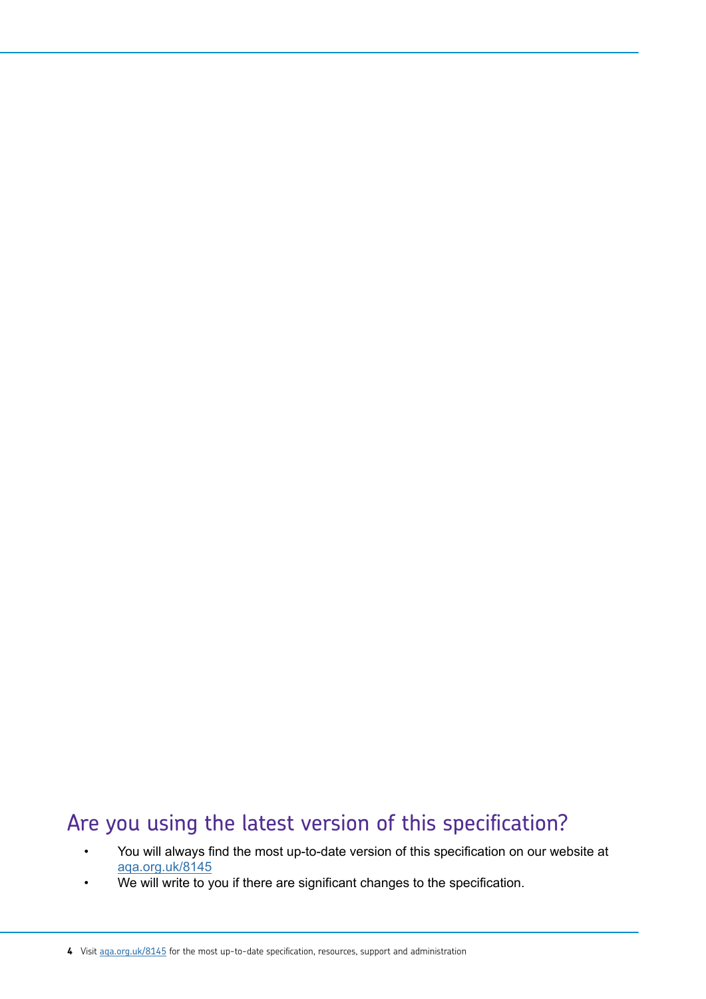# Are you using the latest version of this specification?

- You will always find the most up-to-date version of this specification on our website at [aqa.org.uk/8145](http://aqa.org.uk/8145)
- We will write to you if there are significant changes to the specification.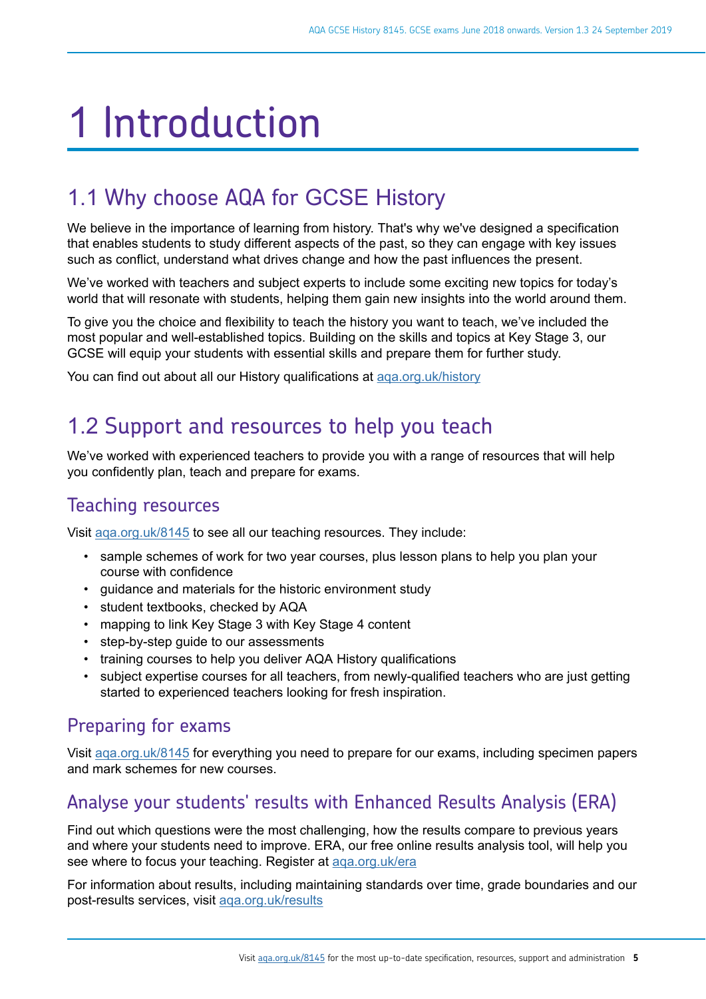# <span id="page-4-0"></span>1 Introduction

# 1.1 Why choose AQA for GCSE History

We believe in the importance of learning from history. That's why we've designed a specification that enables students to study different aspects of the past, so they can engage with key issues such as conflict, understand what drives change and how the past influences the present.

We've worked with teachers and subject experts to include some exciting new topics for today's world that will resonate with students, helping them gain new insights into the world around them.

To give you the choice and flexibility to teach the history you want to teach, we've included the most popular and well-established topics. Building on the skills and topics at Key Stage 3, our GCSE will equip your students with essential skills and prepare them for further study.

You can find out about all our History qualifications at [aqa.org.uk/history](http://www.aqa.org.uk/history)

### 1.2 Support and resources to help you teach

We've worked with experienced teachers to provide you with a range of resources that will help you confidently plan, teach and prepare for exams.

### Teaching resources

Visit [aqa.org.uk/8145](http://www.aqa.org.uk/8145) to see all our teaching resources. They include:

- sample schemes of work for two year courses, plus lesson plans to help you plan your course with confidence
- guidance and materials for the historic environment study
- student textbooks, checked by AQA
- mapping to link Key Stage 3 with Key Stage 4 content
- step-by-step guide to our assessments
- training courses to help you deliver AQA History qualifications
- subject expertise courses for all teachers, from newly-qualified teachers who are just getting started to experienced teachers looking for fresh inspiration.

### Preparing for exams

Visit [aqa.org.uk/8145](http://www.aqa.org.uk/8145) for everything you need to prepare for our exams, including specimen papers and mark schemes for new courses.

### Analyse your students' results with Enhanced Results Analysis (ERA)

Find out which questions were the most challenging, how the results compare to previous years and where your students need to improve. ERA, our free online results analysis tool, will help you see where to focus your teaching. Register at [aqa.org.uk/era](http://www.aqa.org.uk/era)

For information about results, including maintaining standards over time, grade boundaries and our post-results services, visit [aqa.org.uk/results](http://www.aqa.org.uk/results)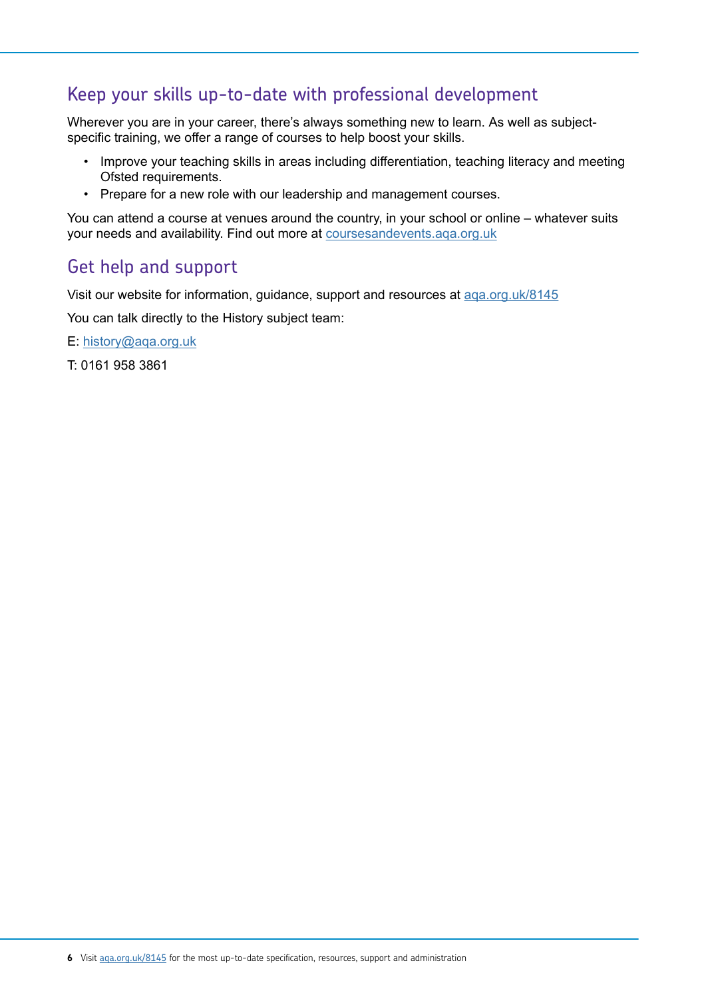### Keep your skills up-to-date with professional development

Wherever you are in your career, there's always something new to learn. As well as subjectspecific training, we offer a range of courses to help boost your skills.

- Improve your teaching skills in areas including differentiation, teaching literacy and meeting Ofsted requirements.
- Prepare for a new role with our leadership and management courses.

You can attend a course at venues around the country, in your school or online – whatever suits your needs and availability. Find out more at [coursesandevents.aqa.org.uk](http://coursesandevents.aqa.org.uk/)

### Get help and support

Visit our website for information, guidance, support and resources at [aqa.org.uk/8145](http://www.aqa.org.uk/8145)

You can talk directly to the History subject team:

E: [history@aqa.org.uk](mailto:history@aqa.org.uk)

T: 0161 958 3861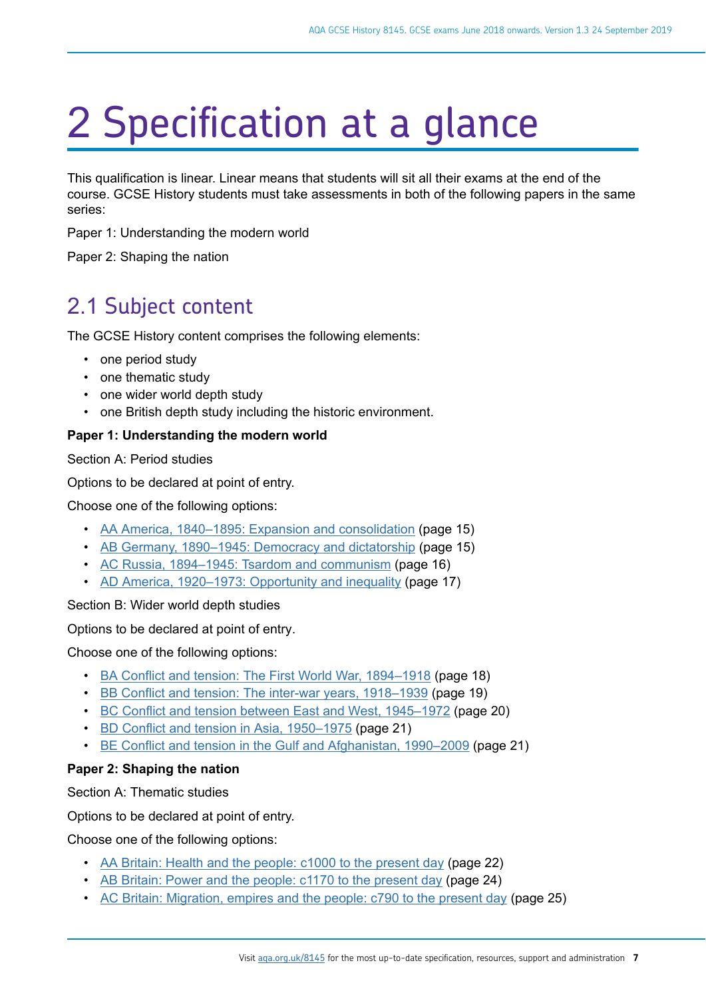# <span id="page-6-0"></span>2 Specification at a glance

This qualification is linear. Linear means that students will sit all their exams at the end of the course. GCSE History students must take assessments in both of the following papers in the same series:

Paper 1: Understanding the modern world

Paper 2: Shaping the nation

# 2.1 Subject content

The GCSE History content comprises the following elements:

- one period study
- one thematic study
- one wider world depth study
- one British depth study including the historic environment.

### **Paper 1: Understanding the modern world**

Section A: Period studies

Options to be declared at point of entry.

Choose one of the following options:

- [AA America, 1840–1895: Expansion and consolidation](#page-14-0) (page 15)
- [AB Germany, 1890–1945: Democracy and dictatorship](#page-14-0) (page 15)
- [AC Russia, 1894–1945: Tsardom and communism](#page-15-0) (page 16)
- [AD America, 1920–1973: Opportunity and inequality](#page-16-0) (page 17)

Section B: Wider world depth studies

Options to be declared at point of entry.

Choose one of the following options:

- [BA Conflict and tension: The First World War, 1894–1918](#page-17-0) (page 18)
- [BB Conflict and tension: The inter-war years, 1918–1939](#page-18-0) (page 19)
- [BC Conflict and tension between East and West, 1945–1972](#page-19-0) (page 20)
- [BD Conflict and tension in Asia, 1950–1975](#page-20-0) (page 21)
- [BE Conflict and tension in the Gulf and Afghanistan, 1990–2009](#page-20-0) (page 21)

### **Paper 2: Shaping the nation**

Section A: Thematic studies

Options to be declared at point of entry.

Choose one of the following options:

- [AA Britain: Health and the people: c1000 to the present day](#page-21-0) (page 22)
- [AB Britain: Power and the people: c1170 to the present day](#page-23-0) (page 24)
- [AC Britain: Migration, empires and the people: c790 to the present day](#page-24-0) (page 25)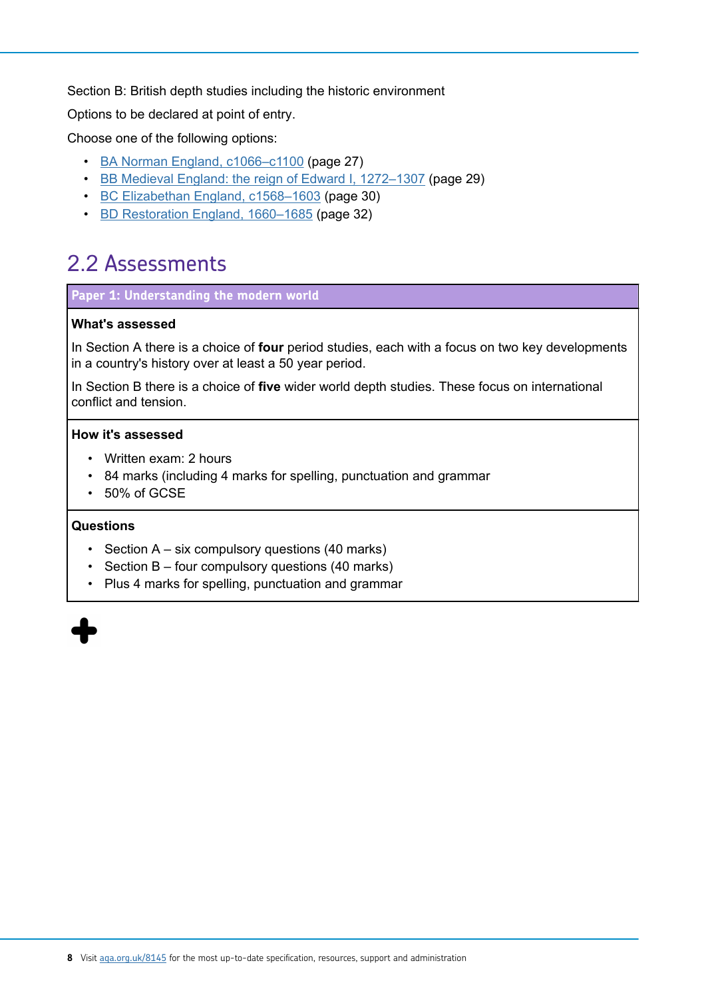<span id="page-7-0"></span>Section B: British depth studies including the historic environment

Options to be declared at point of entry.

Choose one of the following options:

- [BA Norman England, c1066–c1100](#page-26-0) (page 27)
- [BB Medieval England: the reign of Edward I, 1272–1307](#page-28-0) (page 29)
- [BC Elizabethan England, c1568–1603](#page-29-0) (page 30)
- [BD Restoration England, 1660–1685](#page-31-0) (page 32)

# 2.2 Assessments

**Paper 1: Understanding the modern world**

### **What's assessed**

In Section A there is a choice of **four** period studies, each with a focus on two key developments in a country's history over at least a 50 year period.

In Section B there is a choice of **five** wider world depth studies. These focus on international conflict and tension.

### **How it's assessed**

- Written exam: 2 hours
- 84 marks (including 4 marks for spelling, punctuation and grammar
- 50% of GCSE

### **Questions**

- Section A six compulsory questions (40 marks)
- Section B four compulsory questions (40 marks)
- Plus 4 marks for spelling, punctuation and grammar

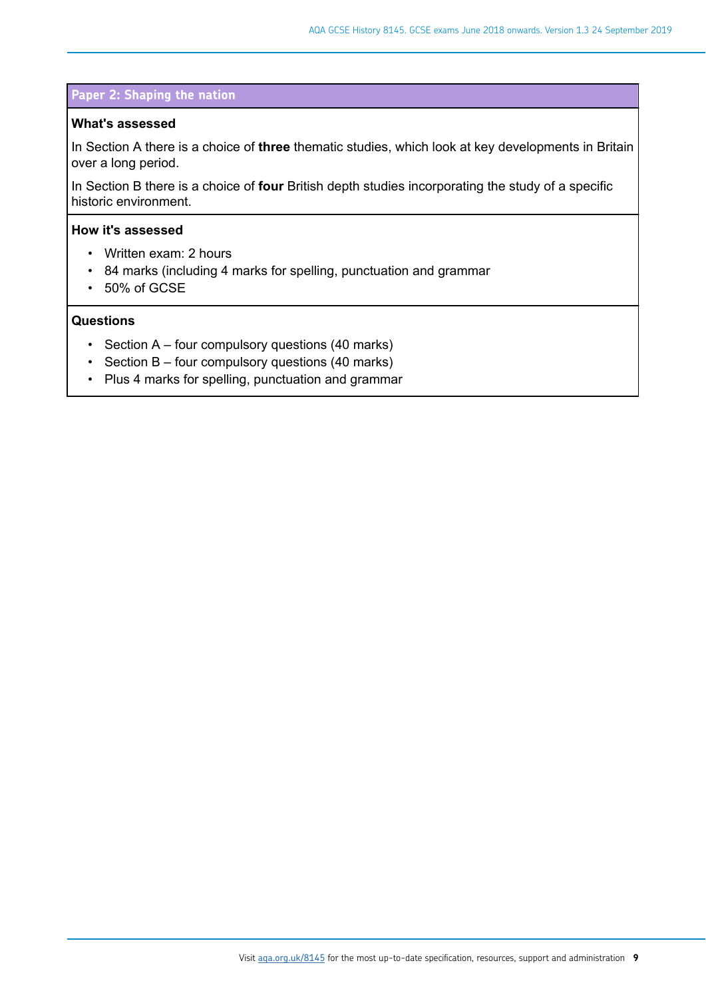### **Paper 2: Shaping the nation**

### **What's assessed**

In Section A there is a choice of **three** thematic studies, which look at key developments in Britain over a long period.

In Section B there is a choice of **four** British depth studies incorporating the study of a specific historic environment.

### **How it's assessed**

- Written exam: 2 hours
- 84 marks (including 4 marks for spelling, punctuation and grammar
- 50% of GCSE

### **Questions**

- Section A four compulsory questions (40 marks)
- Section B four compulsory questions (40 marks)
- Plus 4 marks for spelling, punctuation and grammar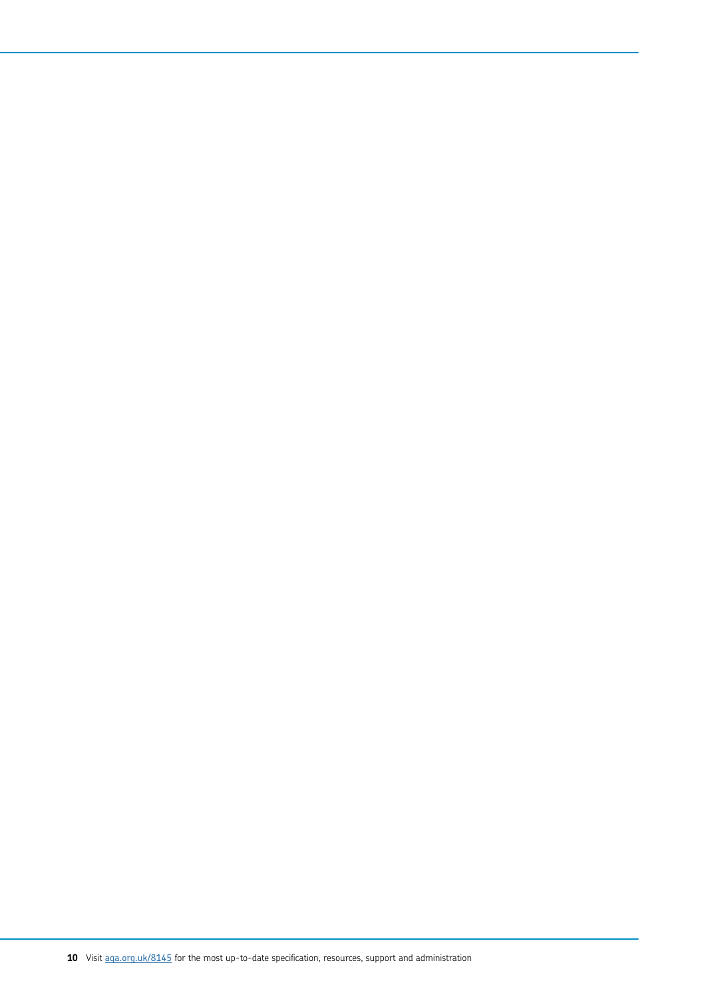10 Visit aga.org.uk/8145 for the most up-to-date specification, resources, support and administration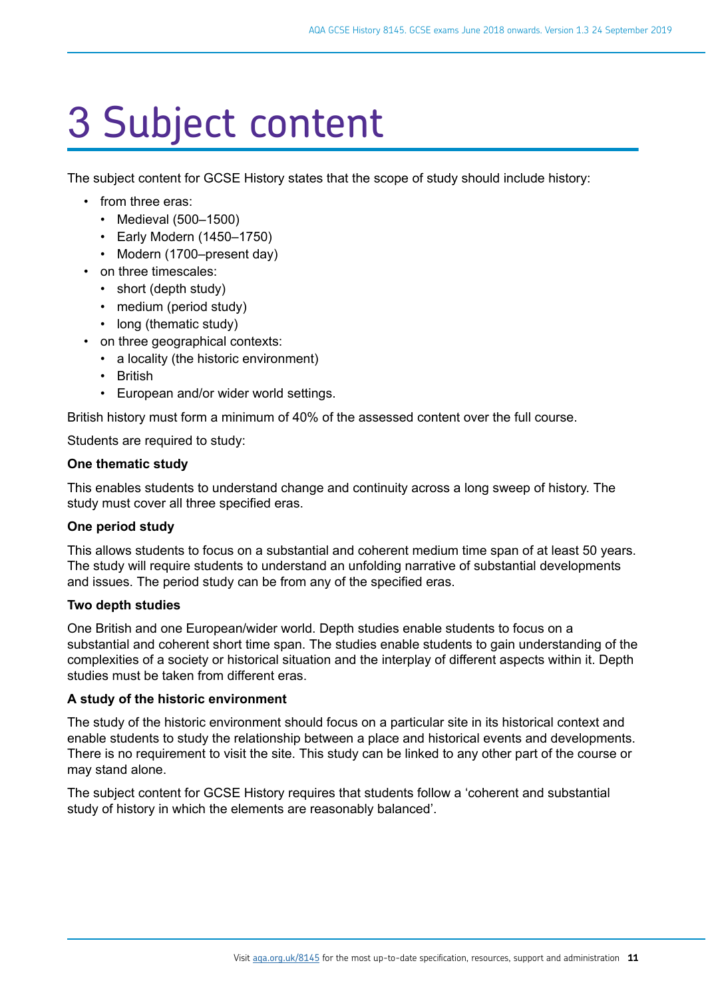# <span id="page-10-0"></span>3 Subject content

The subject content for GCSE History states that the scope of study should include history:

- from three eras:
	- Medieval (500–1500)
	- Early Modern (1450–1750)
	- Modern (1700–present day)
- on three timescales:
	- short (depth study)
	- medium (period study)
	- long (thematic study)
- on three geographical contexts:
	- a locality (the historic environment)
	- British
	- European and/or wider world settings.

British history must form a minimum of 40% of the assessed content over the full course.

Students are required to study:

### **One thematic study**

This enables students to understand change and continuity across a long sweep of history. The study must cover all three specified eras.

### **One period study**

This allows students to focus on a substantial and coherent medium time span of at least 50 years. The study will require students to understand an unfolding narrative of substantial developments and issues. The period study can be from any of the specified eras.

#### **Two depth studies**

One British and one European/wider world. Depth studies enable students to focus on a substantial and coherent short time span. The studies enable students to gain understanding of the complexities of a society or historical situation and the interplay of different aspects within it. Depth studies must be taken from different eras.

### **A study of the historic environment**

The study of the historic environment should focus on a particular site in its historical context and enable students to study the relationship between a place and historical events and developments. There is no requirement to visit the site. This study can be linked to any other part of the course or may stand alone.

The subject content for GCSE History requires that students follow a 'coherent and substantial study of history in which the elements are reasonably balanced'.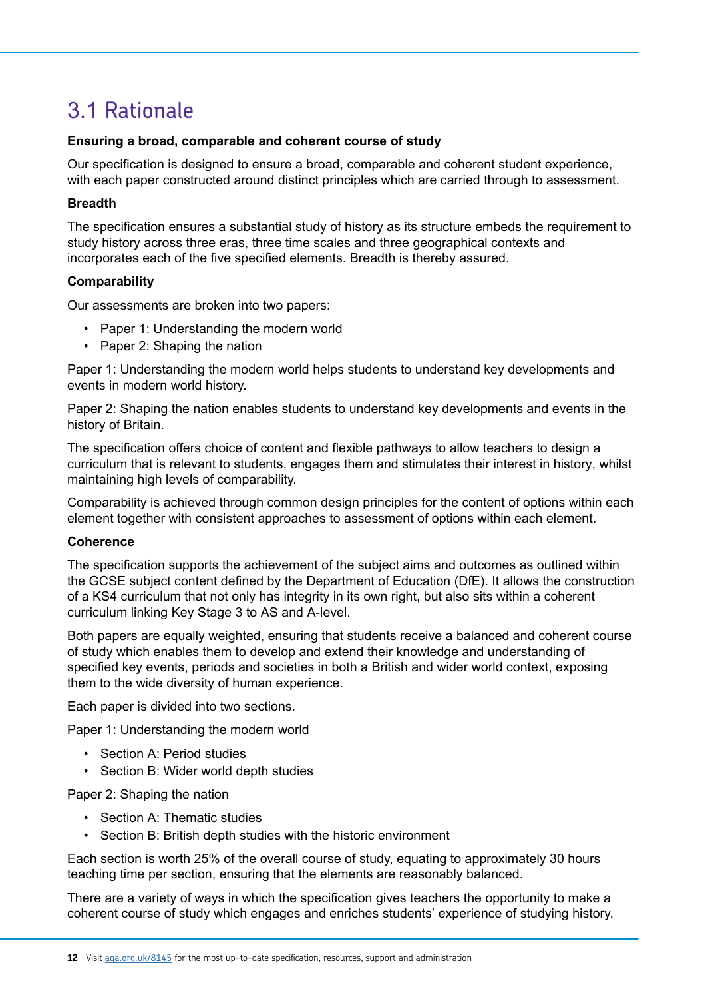# <span id="page-11-0"></span>3.1 Rationale

### **Ensuring a broad, comparable and coherent course of study**

Our specification is designed to ensure a broad, comparable and coherent student experience, with each paper constructed around distinct principles which are carried through to assessment.

### **Breadth**

The specification ensures a substantial study of history as its structure embeds the requirement to study history across three eras, three time scales and three geographical contexts and incorporates each of the five specified elements. Breadth is thereby assured.

### **Comparability**

Our assessments are broken into two papers:

- Paper 1: Understanding the modern world
- Paper 2: Shaping the nation

Paper 1: Understanding the modern world helps students to understand key developments and events in modern world history.

Paper 2: Shaping the nation enables students to understand key developments and events in the history of Britain.

The specification offers choice of content and flexible pathways to allow teachers to design a curriculum that is relevant to students, engages them and stimulates their interest in history, whilst maintaining high levels of comparability.

Comparability is achieved through common design principles for the content of options within each element together with consistent approaches to assessment of options within each element.

### **Coherence**

The specification supports the achievement of the subject aims and outcomes as outlined within the GCSE subject content defined by the Department of Education (DfE). It allows the construction of a KS4 curriculum that not only has integrity in its own right, but also sits within a coherent curriculum linking Key Stage 3 to AS and A-level.

Both papers are equally weighted, ensuring that students receive a balanced and coherent course of study which enables them to develop and extend their knowledge and understanding of specified key events, periods and societies in both a British and wider world context, exposing them to the wide diversity of human experience.

Each paper is divided into two sections.

Paper 1: Understanding the modern world

- Section A: Period studies
- Section B: Wider world depth studies

Paper 2: Shaping the nation

- Section A: Thematic studies
- Section B: British depth studies with the historic environment

Each section is worth 25% of the overall course of study, equating to approximately 30 hours teaching time per section, ensuring that the elements are reasonably balanced.

There are a variety of ways in which the specification gives teachers the opportunity to make a coherent course of study which engages and enriches students' experience of studying history.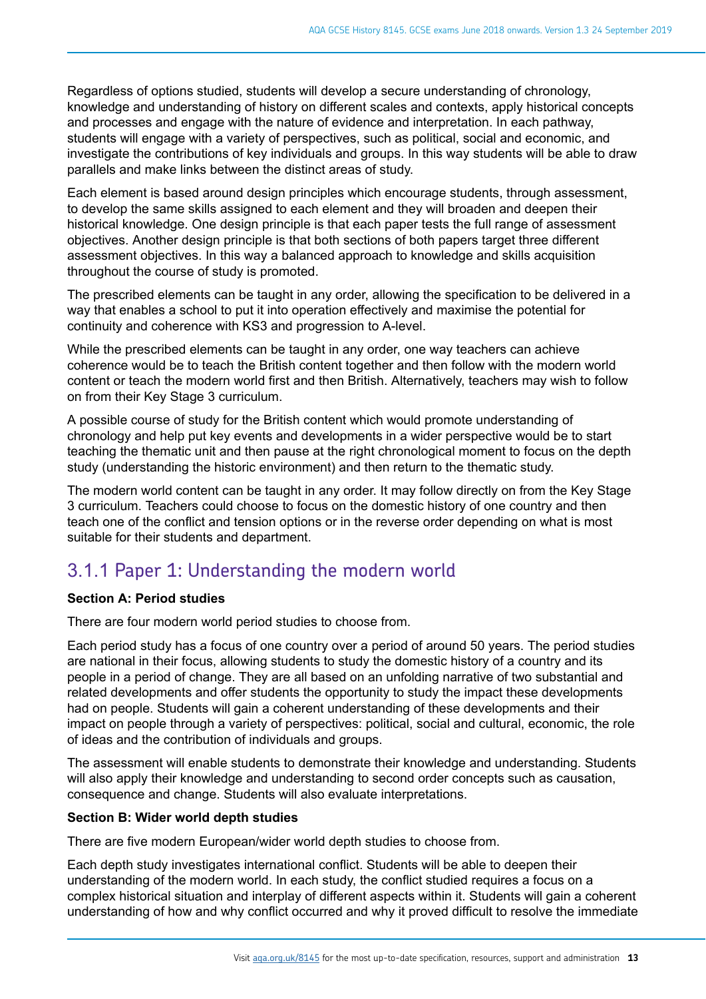Regardless of options studied, students will develop a secure understanding of chronology, knowledge and understanding of history on different scales and contexts, apply historical concepts and processes and engage with the nature of evidence and interpretation. In each pathway, students will engage with a variety of perspectives, such as political, social and economic, and investigate the contributions of key individuals and groups. In this way students will be able to draw parallels and make links between the distinct areas of study.

Each element is based around design principles which encourage students, through assessment, to develop the same skills assigned to each element and they will broaden and deepen their historical knowledge. One design principle is that each paper tests the full range of assessment objectives. Another design principle is that both sections of both papers target three different assessment objectives. In this way a balanced approach to knowledge and skills acquisition throughout the course of study is promoted.

The prescribed elements can be taught in any order, allowing the specification to be delivered in a way that enables a school to put it into operation effectively and maximise the potential for continuity and coherence with KS3 and progression to A-level.

While the prescribed elements can be taught in any order, one way teachers can achieve coherence would be to teach the British content together and then follow with the modern world content or teach the modern world first and then British. Alternatively, teachers may wish to follow on from their Key Stage 3 curriculum.

A possible course of study for the British content which would promote understanding of chronology and help put key events and developments in a wider perspective would be to start teaching the thematic unit and then pause at the right chronological moment to focus on the depth study (understanding the historic environment) and then return to the thematic study.

The modern world content can be taught in any order. It may follow directly on from the Key Stage 3 curriculum. Teachers could choose to focus on the domestic history of one country and then teach one of the conflict and tension options or in the reverse order depending on what is most suitable for their students and department.

### 3.1.1 Paper 1: Understanding the modern world

### **Section A: Period studies**

There are four modern world period studies to choose from.

Each period study has a focus of one country over a period of around 50 years. The period studies are national in their focus, allowing students to study the domestic history of a country and its people in a period of change. They are all based on an unfolding narrative of two substantial and related developments and offer students the opportunity to study the impact these developments had on people. Students will gain a coherent understanding of these developments and their impact on people through a variety of perspectives: political, social and cultural, economic, the role of ideas and the contribution of individuals and groups.

The assessment will enable students to demonstrate their knowledge and understanding. Students will also apply their knowledge and understanding to second order concepts such as causation, consequence and change. Students will also evaluate interpretations.

#### **Section B: Wider world depth studies**

There are five modern European/wider world depth studies to choose from.

Each depth study investigates international conflict. Students will be able to deepen their understanding of the modern world. In each study, the conflict studied requires a focus on a complex historical situation and interplay of different aspects within it. Students will gain a coherent understanding of how and why conflict occurred and why it proved difficult to resolve the immediate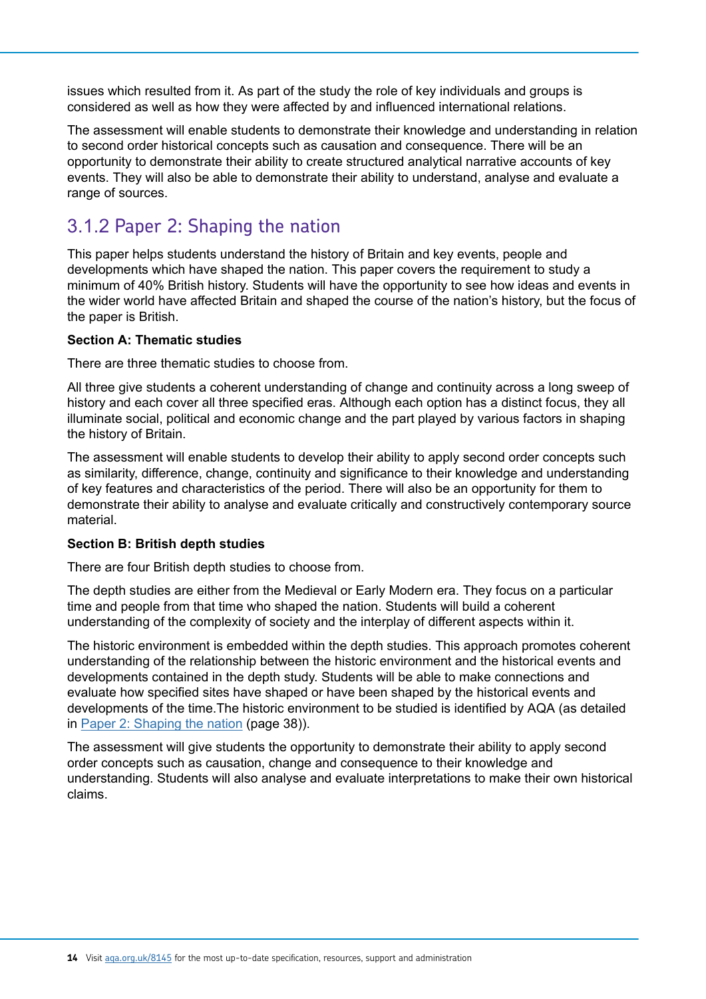issues which resulted from it. As part of the study the role of key individuals and groups is considered as well as how they were affected by and influenced international relations.

The assessment will enable students to demonstrate their knowledge and understanding in relation to second order historical concepts such as causation and consequence. There will be an opportunity to demonstrate their ability to create structured analytical narrative accounts of key events. They will also be able to demonstrate their ability to understand, analyse and evaluate a range of sources.

### 3.1.2 Paper 2: Shaping the nation

This paper helps students understand the history of Britain and key events, people and developments which have shaped the nation. This paper covers the requirement to study a minimum of 40% British history. Students will have the opportunity to see how ideas and events in the wider world have affected Britain and shaped the course of the nation's history, but the focus of the paper is British.

### **Section A: Thematic studies**

There are three thematic studies to choose from.

All three give students a coherent understanding of change and continuity across a long sweep of history and each cover all three specified eras. Although each option has a distinct focus, they all illuminate social, political and economic change and the part played by various factors in shaping the history of Britain.

The assessment will enable students to develop their ability to apply second order concepts such as similarity, difference, change, continuity and significance to their knowledge and understanding of key features and characteristics of the period. There will also be an opportunity for them to demonstrate their ability to analyse and evaluate critically and constructively contemporary source material.

### **Section B: British depth studies**

There are four British depth studies to choose from.

The depth studies are either from the Medieval or Early Modern era. They focus on a particular time and people from that time who shaped the nation. Students will build a coherent understanding of the complexity of society and the interplay of different aspects within it.

The historic environment is embedded within the depth studies. This approach promotes coherent understanding of the relationship between the historic environment and the historical events and developments contained in the depth study. Students will be able to make connections and evaluate how specified sites have shaped or have been shaped by the historical events and developments of the time.The historic environment to be studied is identified by AQA (as detailed in [Paper 2: Shaping the nation](#page-37-0) (page 38)).

The assessment will give students the opportunity to demonstrate their ability to apply second order concepts such as causation, change and consequence to their knowledge and understanding. Students will also analyse and evaluate interpretations to make their own historical claims.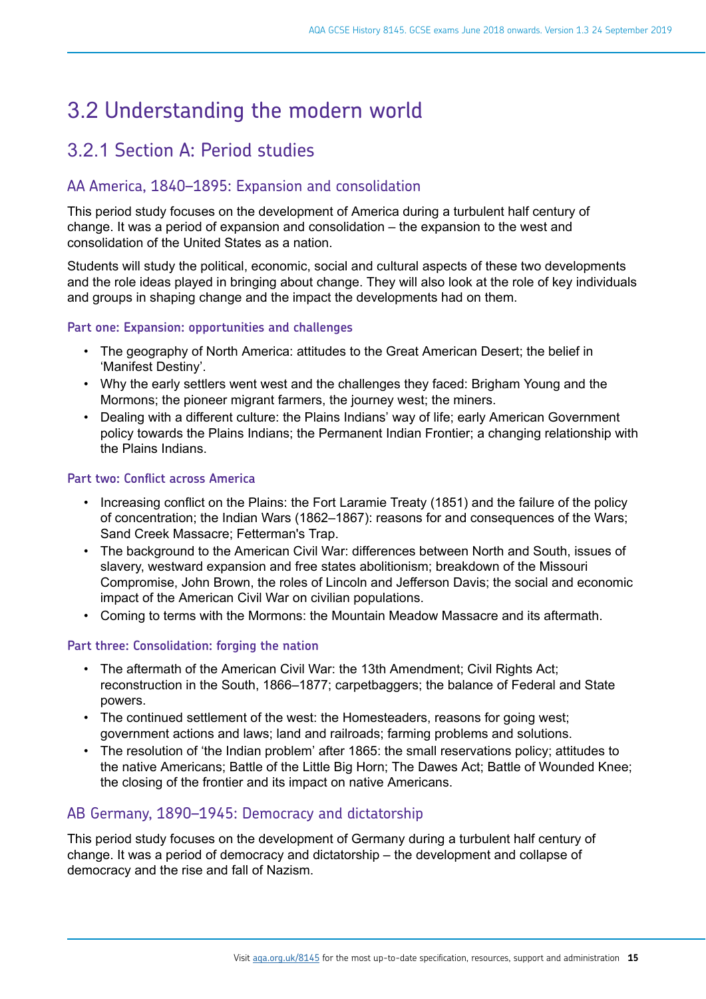# <span id="page-14-0"></span>3.2 Understanding the modern world

### 3.2.1 Section A: Period studies

### AA America, 1840–1895: Expansion and consolidation

This period study focuses on the development of America during a turbulent half century of change. It was a period of expansion and consolidation – the expansion to the west and consolidation of the United States as a nation.

Students will study the political, economic, social and cultural aspects of these two developments and the role ideas played in bringing about change. They will also look at the role of key individuals and groups in shaping change and the impact the developments had on them.

### **Part one: Expansion: opportunities and challenges**

- The geography of North America: attitudes to the Great American Desert; the belief in 'Manifest Destiny'.
- Why the early settlers went west and the challenges they faced: Brigham Young and the Mormons; the pioneer migrant farmers, the journey west; the miners.
- Dealing with a different culture: the Plains Indians' way of life; early American Government policy towards the Plains Indians; the Permanent Indian Frontier; a changing relationship with the Plains Indians.

### **Part two: Conflict across America**

- Increasing conflict on the Plains: the Fort Laramie Treaty (1851) and the failure of the policy of concentration; the Indian Wars (1862–1867): reasons for and consequences of the Wars; Sand Creek Massacre; Fetterman's Trap.
- The background to the American Civil War: differences between North and South, issues of slavery, westward expansion and free states abolitionism; breakdown of the Missouri Compromise, John Brown, the roles of Lincoln and Jefferson Davis; the social and economic impact of the American Civil War on civilian populations.
- Coming to terms with the Mormons: the Mountain Meadow Massacre and its aftermath.

### **Part three: Consolidation: forging the nation**

- The aftermath of the American Civil War: the 13th Amendment; Civil Rights Act; reconstruction in the South, 1866–1877; carpetbaggers; the balance of Federal and State powers.
- The continued settlement of the west: the Homesteaders, reasons for going west; government actions and laws; land and railroads; farming problems and solutions.
- The resolution of 'the Indian problem' after 1865: the small reservations policy; attitudes to the native Americans; Battle of the Little Big Horn; The Dawes Act; Battle of Wounded Knee; the closing of the frontier and its impact on native Americans.

### AB Germany, 1890–1945: Democracy and dictatorship

This period study focuses on the development of Germany during a turbulent half century of change. It was a period of democracy and dictatorship – the development and collapse of democracy and the rise and fall of Nazism.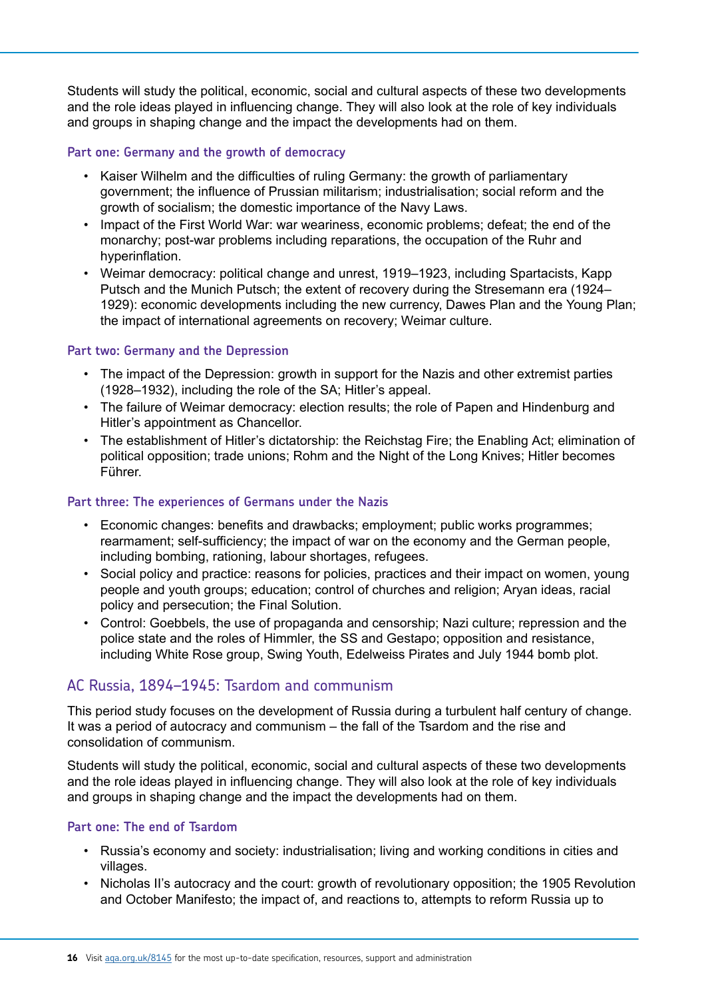<span id="page-15-0"></span>Students will study the political, economic, social and cultural aspects of these two developments and the role ideas played in influencing change. They will also look at the role of key individuals and groups in shaping change and the impact the developments had on them.

### **Part one: Germany and the growth of democracy**

- Kaiser Wilhelm and the difficulties of ruling Germany: the growth of parliamentary government; the influence of Prussian militarism; industrialisation; social reform and the growth of socialism; the domestic importance of the Navy Laws.
- Impact of the First World War: war weariness, economic problems; defeat; the end of the monarchy; post-war problems including reparations, the occupation of the Ruhr and hyperinflation.
- Weimar democracy: political change and unrest, 1919–1923, including Spartacists, Kapp Putsch and the Munich Putsch; the extent of recovery during the Stresemann era (1924– 1929): economic developments including the new currency, Dawes Plan and the Young Plan; the impact of international agreements on recovery; Weimar culture.

### **Part two: Germany and the Depression**

- The impact of the Depression: growth in support for the Nazis and other extremist parties (1928–1932), including the role of the SA; Hitler's appeal.
- The failure of Weimar democracy: election results; the role of Papen and Hindenburg and Hitler's appointment as Chancellor.
- The establishment of Hitler's dictatorship: the Reichstag Fire; the Enabling Act; elimination of political opposition; trade unions; Rohm and the Night of the Long Knives; Hitler becomes Führer.

### **Part three: The experiences of Germans under the Nazis**

- Economic changes: benefits and drawbacks; employment; public works programmes; rearmament; self-sufficiency; the impact of war on the economy and the German people, including bombing, rationing, labour shortages, refugees.
- Social policy and practice: reasons for policies, practices and their impact on women, young people and youth groups; education; control of churches and religion; Aryan ideas, racial policy and persecution; the Final Solution.
- Control: Goebbels, the use of propaganda and censorship; Nazi culture; repression and the police state and the roles of Himmler, the SS and Gestapo; opposition and resistance, including White Rose group, Swing Youth, Edelweiss Pirates and July 1944 bomb plot.

### AC Russia, 1894–1945: Tsardom and communism

This period study focuses on the development of Russia during a turbulent half century of change. It was a period of autocracy and communism – the fall of the Tsardom and the rise and consolidation of communism.

Students will study the political, economic, social and cultural aspects of these two developments and the role ideas played in influencing change. They will also look at the role of key individuals and groups in shaping change and the impact the developments had on them.

### **Part one: The end of Tsardom**

- Russia's economy and society: industrialisation; living and working conditions in cities and villages.
- Nicholas II's autocracy and the court: growth of revolutionary opposition; the 1905 Revolution and October Manifesto; the impact of, and reactions to, attempts to reform Russia up to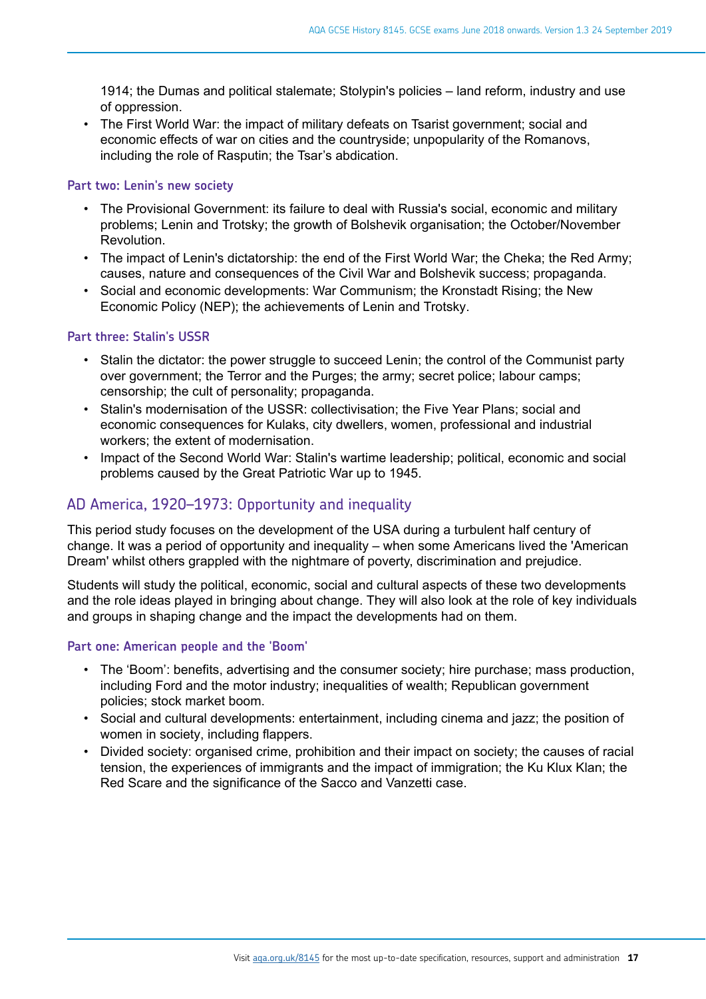<span id="page-16-0"></span>1914; the Dumas and political stalemate; Stolypin's policies – land reform, industry and use of oppression.

• The First World War: the impact of military defeats on Tsarist government; social and economic effects of war on cities and the countryside; unpopularity of the Romanovs, including the role of Rasputin; the Tsar's abdication.

#### **Part two: Lenin's new society**

- The Provisional Government: its failure to deal with Russia's social, economic and military problems; Lenin and Trotsky; the growth of Bolshevik organisation; the October/November Revolution.
- The impact of Lenin's dictatorship: the end of the First World War; the Cheka; the Red Army; causes, nature and consequences of the Civil War and Bolshevik success; propaganda.
- Social and economic developments: War Communism; the Kronstadt Rising; the New Economic Policy (NEP); the achievements of Lenin and Trotsky.

### **Part three: Stalin's USSR**

- Stalin the dictator: the power struggle to succeed Lenin; the control of the Communist party over government; the Terror and the Purges; the army; secret police; labour camps; censorship; the cult of personality; propaganda.
- Stalin's modernisation of the USSR: collectivisation; the Five Year Plans; social and economic consequences for Kulaks, city dwellers, women, professional and industrial workers; the extent of modernisation.
- Impact of the Second World War: Stalin's wartime leadership; political, economic and social problems caused by the Great Patriotic War up to 1945.

### AD America, 1920–1973: Opportunity and inequality

This period study focuses on the development of the USA during a turbulent half century of change. It was a period of opportunity and inequality – when some Americans lived the 'American Dream' whilst others grappled with the nightmare of poverty, discrimination and prejudice.

Students will study the political, economic, social and cultural aspects of these two developments and the role ideas played in bringing about change. They will also look at the role of key individuals and groups in shaping change and the impact the developments had on them.

#### **Part one: American people and the 'Boom'**

- The 'Boom': benefits, advertising and the consumer society; hire purchase; mass production, including Ford and the motor industry; inequalities of wealth; Republican government policies; stock market boom.
- Social and cultural developments: entertainment, including cinema and jazz; the position of women in society, including flappers.
- Divided society: organised crime, prohibition and their impact on society; the causes of racial tension, the experiences of immigrants and the impact of immigration; the Ku Klux Klan; the Red Scare and the significance of the Sacco and Vanzetti case.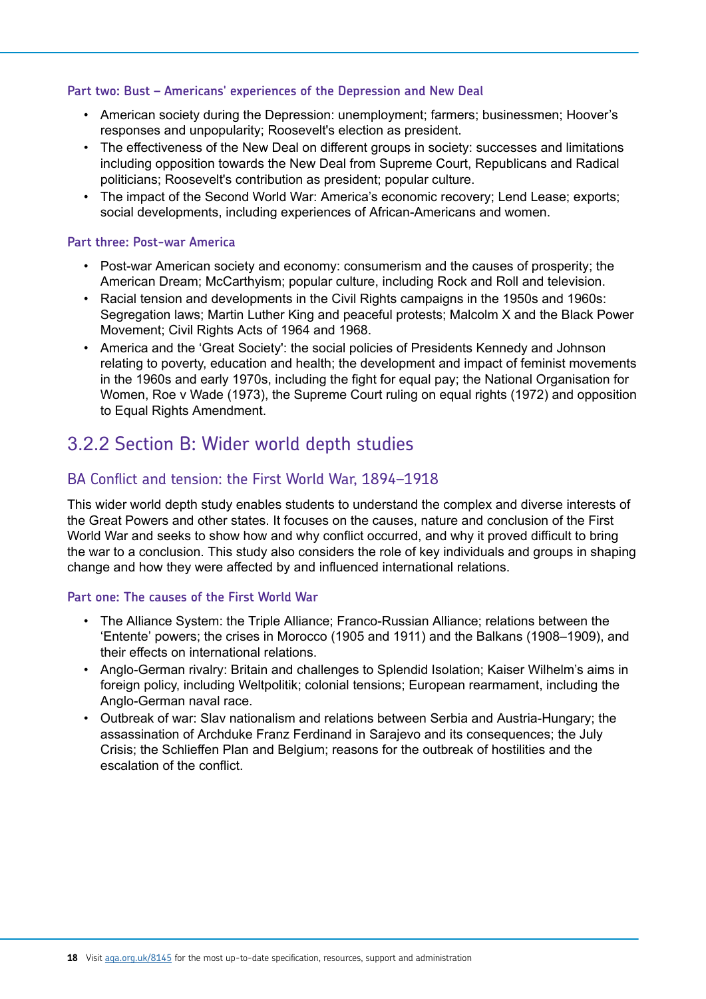### <span id="page-17-0"></span>**Part two: Bust – Americans' experiences of the Depression and New Deal**

- American society during the Depression: unemployment; farmers; businessmen; Hoover's responses and unpopularity; Roosevelt's election as president.
- The effectiveness of the New Deal on different groups in society: successes and limitations including opposition towards the New Deal from Supreme Court, Republicans and Radical politicians; Roosevelt's contribution as president; popular culture.
- The impact of the Second World War: America's economic recovery; Lend Lease; exports; social developments, including experiences of African-Americans and women.

### **Part three: Post-war America**

- Post-war American society and economy: consumerism and the causes of prosperity; the American Dream; McCarthyism; popular culture, including Rock and Roll and television.
- Racial tension and developments in the Civil Rights campaigns in the 1950s and 1960s: Segregation laws; Martin Luther King and peaceful protests; Malcolm X and the Black Power Movement; Civil Rights Acts of 1964 and 1968.
- America and the 'Great Society': the social policies of Presidents Kennedy and Johnson relating to poverty, education and health; the development and impact of feminist movements in the 1960s and early 1970s, including the fight for equal pay; the National Organisation for Women, Roe v Wade (1973), the Supreme Court ruling on equal rights (1972) and opposition to Equal Rights Amendment.

### 3.2.2 Section B: Wider world depth studies

### BA Conflict and tension: the First World War, 1894–1918

This wider world depth study enables students to understand the complex and diverse interests of the Great Powers and other states. It focuses on the causes, nature and conclusion of the First World War and seeks to show how and why conflict occurred, and why it proved difficult to bring the war to a conclusion. This study also considers the role of key individuals and groups in shaping change and how they were affected by and influenced international relations.

### **Part one: The causes of the First World War**

- The Alliance System: the Triple Alliance; Franco-Russian Alliance; relations between the 'Entente' powers; the crises in Morocco (1905 and 1911) and the Balkans (1908–1909), and their effects on international relations.
- Anglo-German rivalry: Britain and challenges to Splendid Isolation; Kaiser Wilhelm's aims in foreign policy, including Weltpolitik; colonial tensions; European rearmament, including the Anglo-German naval race.
- Outbreak of war: Slav nationalism and relations between Serbia and Austria-Hungary; the assassination of Archduke Franz Ferdinand in Sarajevo and its consequences; the July Crisis; the Schlieffen Plan and Belgium; reasons for the outbreak of hostilities and the escalation of the conflict.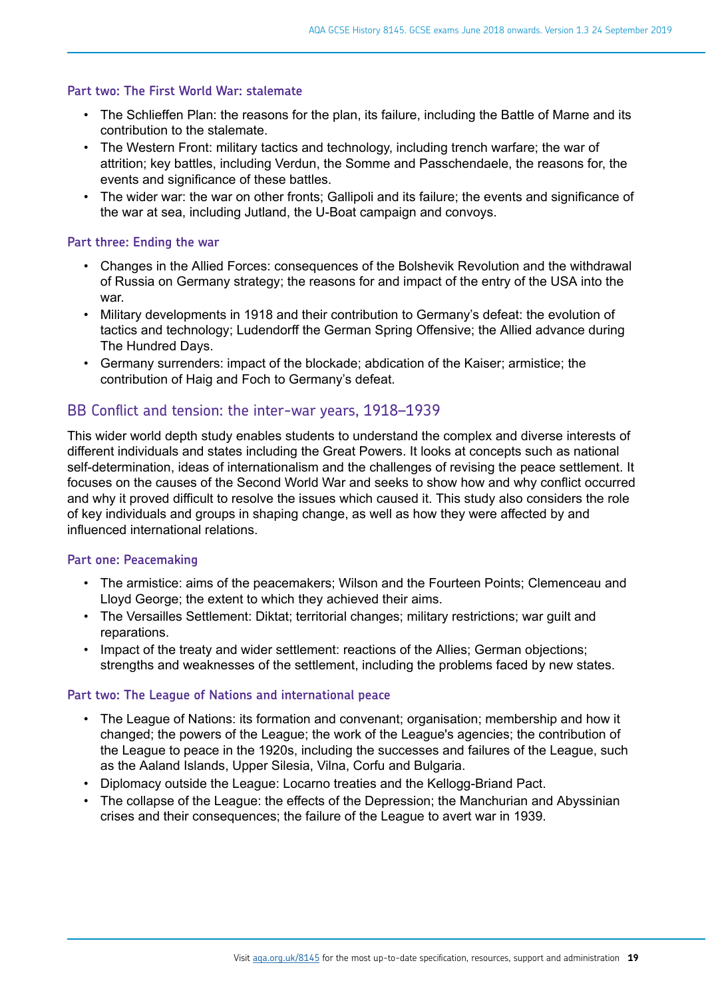### <span id="page-18-0"></span>**Part two: The First World War: stalemate**

- The Schlieffen Plan: the reasons for the plan, its failure, including the Battle of Marne and its contribution to the stalemate.
- The Western Front: military tactics and technology, including trench warfare; the war of attrition; key battles, including Verdun, the Somme and Passchendaele, the reasons for, the events and significance of these battles.
- The wider war: the war on other fronts; Gallipoli and its failure; the events and significance of the war at sea, including Jutland, the U-Boat campaign and convoys.

### **Part three: Ending the war**

- Changes in the Allied Forces: consequences of the Bolshevik Revolution and the withdrawal of Russia on Germany strategy; the reasons for and impact of the entry of the USA into the war.
- Military developments in 1918 and their contribution to Germany's defeat: the evolution of tactics and technology; Ludendorff the German Spring Offensive; the Allied advance during The Hundred Days.
- Germany surrenders: impact of the blockade; abdication of the Kaiser; armistice; the contribution of Haig and Foch to Germany's defeat.

### BB Conflict and tension: the inter-war years, 1918–1939

This wider world depth study enables students to understand the complex and diverse interests of different individuals and states including the Great Powers. It looks at concepts such as national self-determination, ideas of internationalism and the challenges of revising the peace settlement. It focuses on the causes of the Second World War and seeks to show how and why conflict occurred and why it proved difficult to resolve the issues which caused it. This study also considers the role of key individuals and groups in shaping change, as well as how they were affected by and influenced international relations.

### **Part one: Peacemaking**

- The armistice: aims of the peacemakers; Wilson and the Fourteen Points; Clemenceau and Lloyd George; the extent to which they achieved their aims.
- The Versailles Settlement: Diktat; territorial changes; military restrictions; war guilt and reparations.
- Impact of the treaty and wider settlement: reactions of the Allies; German objections; strengths and weaknesses of the settlement, including the problems faced by new states.

### **Part two: The League of Nations and international peace**

- The League of Nations: its formation and convenant; organisation; membership and how it changed; the powers of the League; the work of the League's agencies; the contribution of the League to peace in the 1920s, including the successes and failures of the League, such as the Aaland Islands, Upper Silesia, Vilna, Corfu and Bulgaria.
- Diplomacy outside the League: Locarno treaties and the Kellogg-Briand Pact.
- The collapse of the League: the effects of the Depression; the Manchurian and Abyssinian crises and their consequences; the failure of the League to avert war in 1939.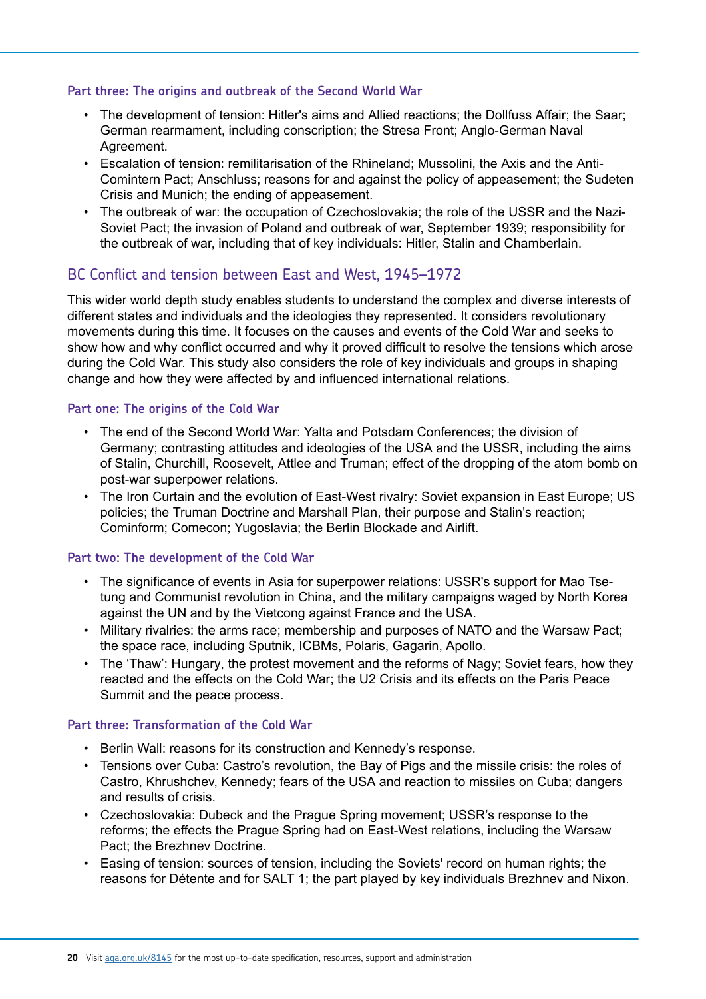### <span id="page-19-0"></span>**Part three: The origins and outbreak of the Second World War**

- The development of tension: Hitler's aims and Allied reactions; the Dollfuss Affair; the Saar; German rearmament, including conscription; the Stresa Front; Anglo-German Naval Agreement.
- Escalation of tension: remilitarisation of the Rhineland; Mussolini, the Axis and the Anti-Comintern Pact; Anschluss; reasons for and against the policy of appeasement; the Sudeten Crisis and Munich; the ending of appeasement.
- The outbreak of war: the occupation of Czechoslovakia; the role of the USSR and the Nazi-Soviet Pact; the invasion of Poland and outbreak of war, September 1939; responsibility for the outbreak of war, including that of key individuals: Hitler, Stalin and Chamberlain.

### BC Conflict and tension between East and West, 1945–1972

This wider world depth study enables students to understand the complex and diverse interests of different states and individuals and the ideologies they represented. It considers revolutionary movements during this time. It focuses on the causes and events of the Cold War and seeks to show how and why conflict occurred and why it proved difficult to resolve the tensions which arose during the Cold War. This study also considers the role of key individuals and groups in shaping change and how they were affected by and influenced international relations.

### **Part one: The origins of the Cold War**

- The end of the Second World War: Yalta and Potsdam Conferences; the division of Germany; contrasting attitudes and ideologies of the USA and the USSR, including the aims of Stalin, Churchill, Roosevelt, Attlee and Truman; effect of the dropping of the atom bomb on post-war superpower relations.
- The Iron Curtain and the evolution of East-West rivalry: Soviet expansion in East Europe; US policies; the Truman Doctrine and Marshall Plan, their purpose and Stalin's reaction; Cominform; Comecon; Yugoslavia; the Berlin Blockade and Airlift.

### **Part two: The development of the Cold War**

- The significance of events in Asia for superpower relations: USSR's support for Mao Tsetung and Communist revolution in China, and the military campaigns waged by North Korea against the UN and by the Vietcong against France and the USA.
- Military rivalries: the arms race; membership and purposes of NATO and the Warsaw Pact; the space race, including Sputnik, ICBMs, Polaris, Gagarin, Apollo.
- The 'Thaw': Hungary, the protest movement and the reforms of Nagy; Soviet fears, how they reacted and the effects on the Cold War; the U2 Crisis and its effects on the Paris Peace Summit and the peace process.

### **Part three: Transformation of the Cold War**

- Berlin Wall: reasons for its construction and Kennedy's response.
- Tensions over Cuba: Castro's revolution, the Bay of Pigs and the missile crisis: the roles of Castro, Khrushchev, Kennedy; fears of the USA and reaction to missiles on Cuba; dangers and results of crisis.
- Czechoslovakia: Dubeck and the Prague Spring movement; USSR's response to the reforms; the effects the Prague Spring had on East-West relations, including the Warsaw Pact; the Brezhnev Doctrine.
- Easing of tension: sources of tension, including the Soviets' record on human rights; the reasons for Détente and for SALT 1; the part played by key individuals Brezhnev and Nixon.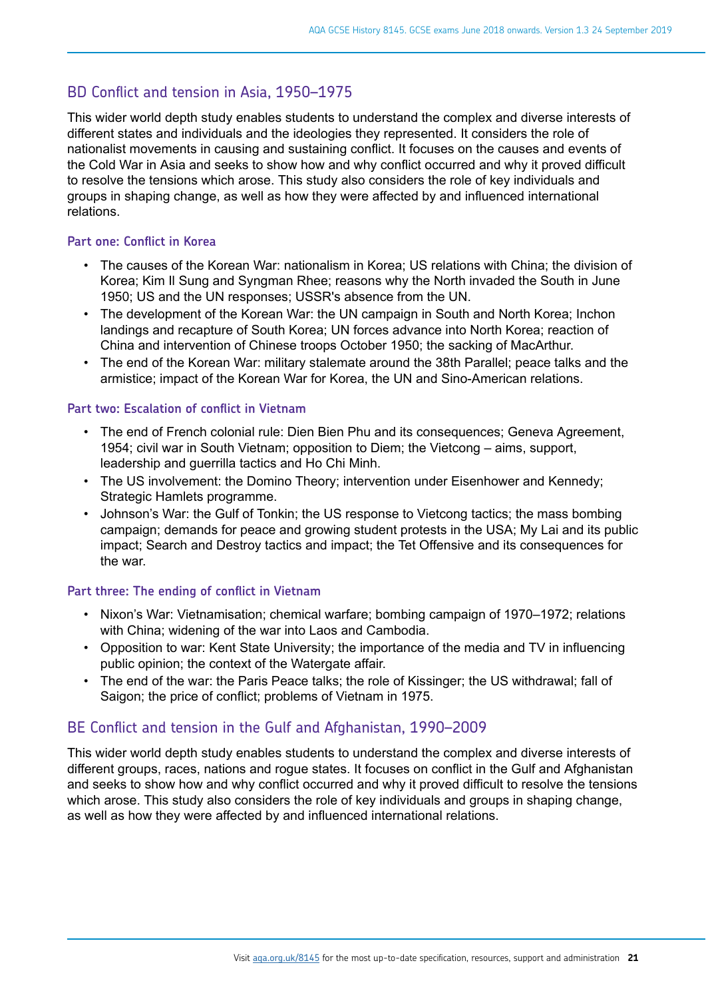### <span id="page-20-0"></span>BD Conflict and tension in Asia, 1950–1975

This wider world depth study enables students to understand the complex and diverse interests of different states and individuals and the ideologies they represented. It considers the role of nationalist movements in causing and sustaining conflict. It focuses on the causes and events of the Cold War in Asia and seeks to show how and why conflict occurred and why it proved difficult to resolve the tensions which arose. This study also considers the role of key individuals and groups in shaping change, as well as how they were affected by and influenced international relations.

### **Part one: Conflict in Korea**

- The causes of the Korean War: nationalism in Korea; US relations with China; the division of Korea; Kim Il Sung and Syngman Rhee; reasons why the North invaded the South in June 1950; US and the UN responses; USSR's absence from the UN.
- The development of the Korean War: the UN campaign in South and North Korea; Inchon landings and recapture of South Korea; UN forces advance into North Korea; reaction of China and intervention of Chinese troops October 1950; the sacking of MacArthur.
- The end of the Korean War: military stalemate around the 38th Parallel; peace talks and the armistice; impact of the Korean War for Korea, the UN and Sino-American relations.

### **Part two: Escalation of conflict in Vietnam**

- The end of French colonial rule: Dien Bien Phu and its consequences; Geneva Agreement, 1954; civil war in South Vietnam; opposition to Diem; the Vietcong – aims, support, leadership and guerrilla tactics and Ho Chi Minh.
- The US involvement: the Domino Theory; intervention under Eisenhower and Kennedy; Strategic Hamlets programme.
- Johnson's War: the Gulf of Tonkin; the US response to Vietcong tactics; the mass bombing campaign; demands for peace and growing student protests in the USA; My Lai and its public impact; Search and Destroy tactics and impact; the Tet Offensive and its consequences for the war.

### **Part three: The ending of conflict in Vietnam**

- Nixon's War: Vietnamisation; chemical warfare; bombing campaign of 1970–1972; relations with China; widening of the war into Laos and Cambodia.
- Opposition to war: Kent State University; the importance of the media and TV in influencing public opinion; the context of the Watergate affair.
- The end of the war: the Paris Peace talks; the role of Kissinger; the US withdrawal; fall of Saigon; the price of conflict; problems of Vietnam in 1975.

### BE Conflict and tension in the Gulf and Afghanistan, 1990–2009

This wider world depth study enables students to understand the complex and diverse interests of different groups, races, nations and rogue states. It focuses on conflict in the Gulf and Afghanistan and seeks to show how and why conflict occurred and why it proved difficult to resolve the tensions which arose. This study also considers the role of key individuals and groups in shaping change, as well as how they were affected by and influenced international relations.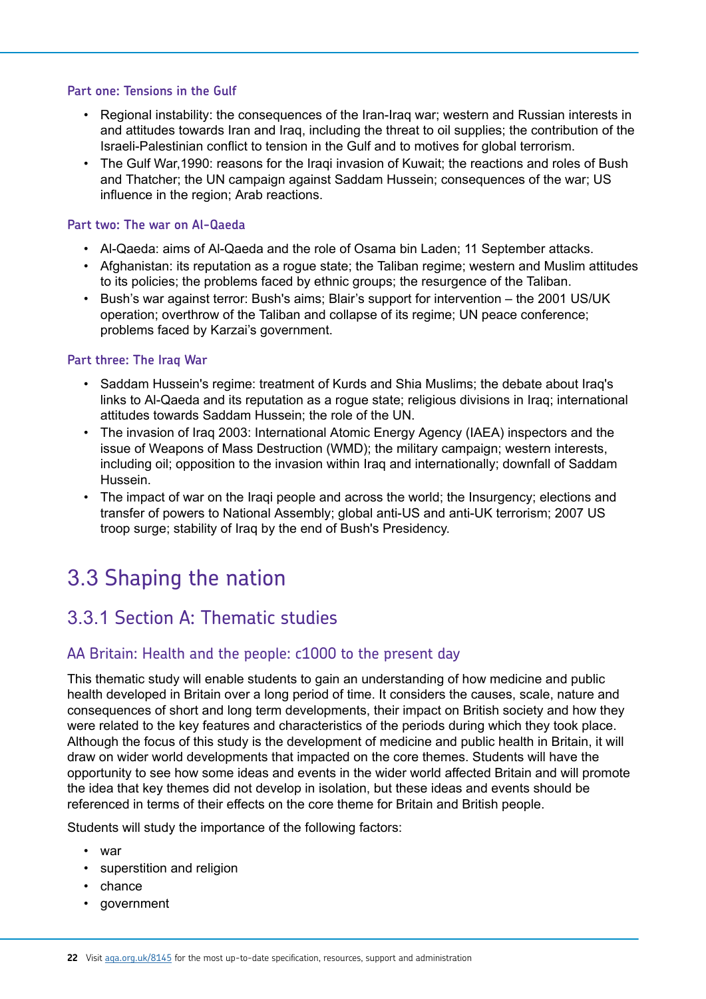### <span id="page-21-0"></span>**Part one: Tensions in the Gulf**

- Regional instability: the consequences of the Iran-Iraq war; western and Russian interests in and attitudes towards Iran and Iraq, including the threat to oil supplies; the contribution of the Israeli-Palestinian conflict to tension in the Gulf and to motives for global terrorism.
- The Gulf War, 1990; reasons for the Iraqi invasion of Kuwait; the reactions and roles of Bush and Thatcher; the UN campaign against Saddam Hussein; consequences of the war; US influence in the region; Arab reactions.

### **Part two: The war on Al-Qaeda**

- Al-Qaeda: aims of Al-Qaeda and the role of Osama bin Laden; 11 September attacks.
- Afghanistan: its reputation as a rogue state; the Taliban regime; western and Muslim attitudes to its policies; the problems faced by ethnic groups; the resurgence of the Taliban.
- Bush's war against terror: Bush's aims; Blair's support for intervention the 2001 US/UK operation; overthrow of the Taliban and collapse of its regime; UN peace conference; problems faced by Karzai's government.

### **Part three: The Iraq War**

- Saddam Hussein's regime: treatment of Kurds and Shia Muslims; the debate about Iraq's links to Al-Qaeda and its reputation as a rogue state; religious divisions in Iraq; international attitudes towards Saddam Hussein; the role of the UN.
- The invasion of Iraq 2003: International Atomic Energy Agency (IAEA) inspectors and the issue of Weapons of Mass Destruction (WMD); the military campaign; western interests, including oil; opposition to the invasion within Iraq and internationally; downfall of Saddam Hussein.
- The impact of war on the Iraqi people and across the world; the Insurgency; elections and transfer of powers to National Assembly; global anti-US and anti-UK terrorism; 2007 US troop surge; stability of Iraq by the end of Bush's Presidency.

# 3.3 Shaping the nation

### 3.3.1 Section A: Thematic studies

### AA Britain: Health and the people: c1000 to the present day

This thematic study will enable students to gain an understanding of how medicine and public health developed in Britain over a long period of time. It considers the causes, scale, nature and consequences of short and long term developments, their impact on British society and how they were related to the key features and characteristics of the periods during which they took place. Although the focus of this study is the development of medicine and public health in Britain, it will draw on wider world developments that impacted on the core themes. Students will have the opportunity to see how some ideas and events in the wider world affected Britain and will promote the idea that key themes did not develop in isolation, but these ideas and events should be referenced in terms of their effects on the core theme for Britain and British people.

Students will study the importance of the following factors:

- war
- superstition and religion
- chance
- government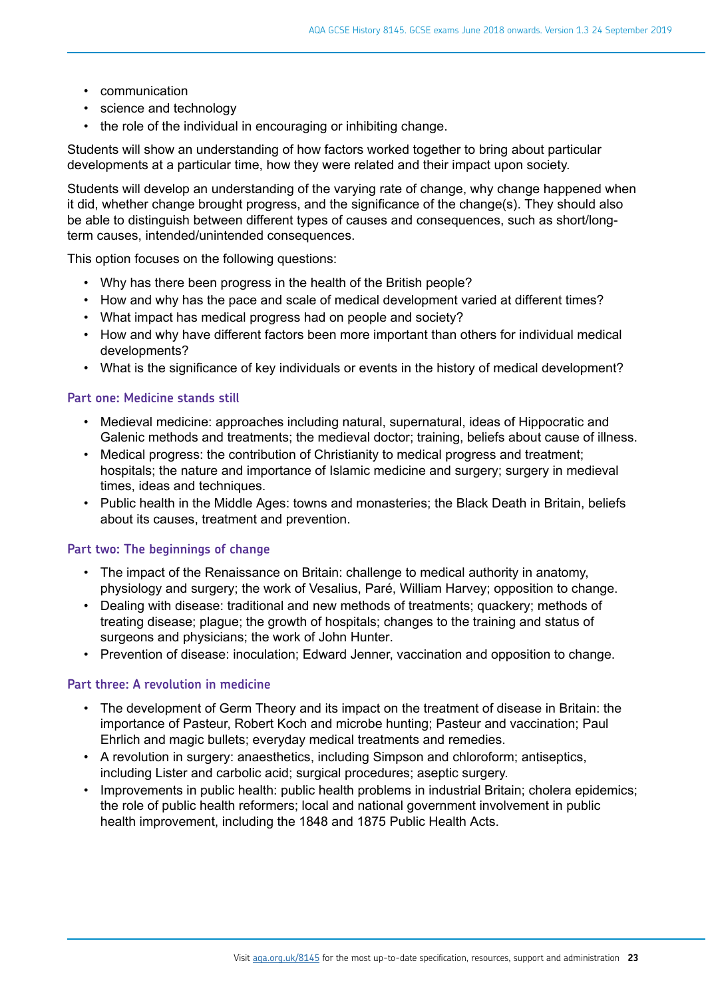- communication
- science and technology
- the role of the individual in encouraging or inhibiting change.

Students will show an understanding of how factors worked together to bring about particular developments at a particular time, how they were related and their impact upon society.

Students will develop an understanding of the varying rate of change, why change happened when it did, whether change brought progress, and the significance of the change(s). They should also be able to distinguish between different types of causes and consequences, such as short/longterm causes, intended/unintended consequences.

This option focuses on the following questions:

- Why has there been progress in the health of the British people?
- How and why has the pace and scale of medical development varied at different times?
- What impact has medical progress had on people and society?
- How and why have different factors been more important than others for individual medical developments?
- What is the significance of key individuals or events in the history of medical development?

#### **Part one: Medicine stands still**

- Medieval medicine: approaches including natural, supernatural, ideas of Hippocratic and Galenic methods and treatments; the medieval doctor; training, beliefs about cause of illness.
- Medical progress: the contribution of Christianity to medical progress and treatment: hospitals; the nature and importance of Islamic medicine and surgery; surgery in medieval times, ideas and techniques.
- Public health in the Middle Ages: towns and monasteries; the Black Death in Britain, beliefs about its causes, treatment and prevention.

#### **Part two: The beginnings of change**

- The impact of the Renaissance on Britain: challenge to medical authority in anatomy, physiology and surgery; the work of Vesalius, Paré, William Harvey; opposition to change.
- Dealing with disease: traditional and new methods of treatments; quackery; methods of treating disease; plague; the growth of hospitals; changes to the training and status of surgeons and physicians; the work of John Hunter.
- Prevention of disease: inoculation; Edward Jenner, vaccination and opposition to change.

### **Part three: A revolution in medicine**

- The development of Germ Theory and its impact on the treatment of disease in Britain: the importance of Pasteur, Robert Koch and microbe hunting; Pasteur and vaccination; Paul Ehrlich and magic bullets; everyday medical treatments and remedies.
- A revolution in surgery: anaesthetics, including Simpson and chloroform; antiseptics, including Lister and carbolic acid; surgical procedures; aseptic surgery.
- Improvements in public health: public health problems in industrial Britain; cholera epidemics; the role of public health reformers; local and national government involvement in public health improvement, including the 1848 and 1875 Public Health Acts.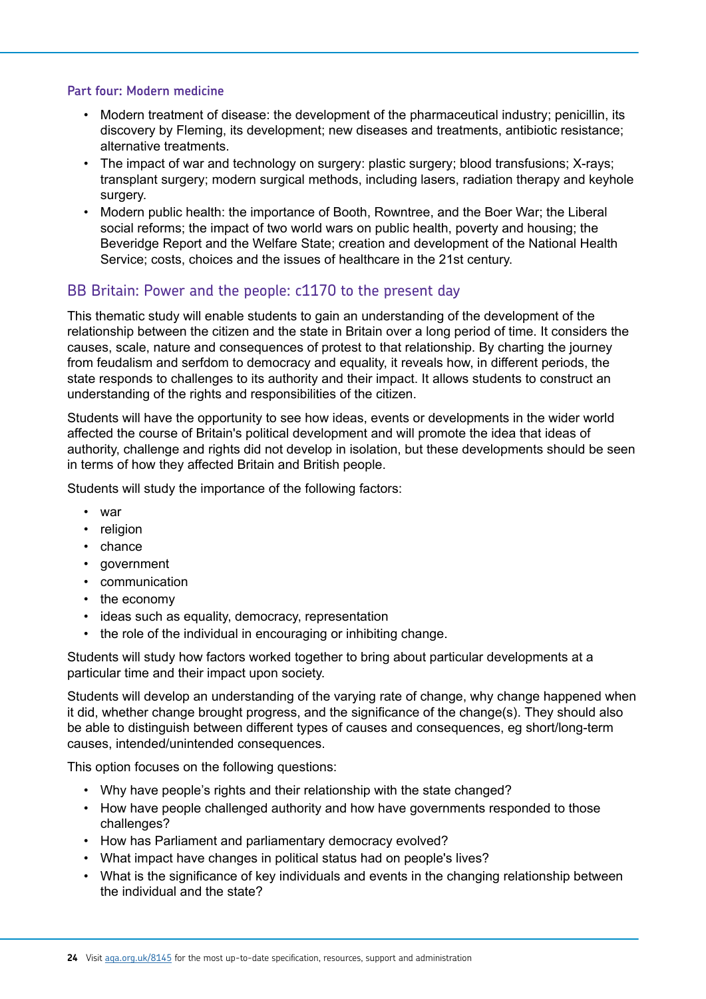### <span id="page-23-0"></span>**Part four: Modern medicine**

- Modern treatment of disease: the development of the pharmaceutical industry; penicillin, its discovery by Fleming, its development; new diseases and treatments, antibiotic resistance; alternative treatments.
- The impact of war and technology on surgery: plastic surgery; blood transfusions; X-rays; transplant surgery; modern surgical methods, including lasers, radiation therapy and keyhole surgery.
- Modern public health: the importance of Booth, Rowntree, and the Boer War; the Liberal social reforms; the impact of two world wars on public health, poverty and housing; the Beveridge Report and the Welfare State; creation and development of the National Health Service; costs, choices and the issues of healthcare in the 21st century.

### BB Britain: Power and the people: c1170 to the present day

This thematic study will enable students to gain an understanding of the development of the relationship between the citizen and the state in Britain over a long period of time. It considers the causes, scale, nature and consequences of protest to that relationship. By charting the journey from feudalism and serfdom to democracy and equality, it reveals how, in different periods, the state responds to challenges to its authority and their impact. It allows students to construct an understanding of the rights and responsibilities of the citizen.

Students will have the opportunity to see how ideas, events or developments in the wider world affected the course of Britain's political development and will promote the idea that ideas of authority, challenge and rights did not develop in isolation, but these developments should be seen in terms of how they affected Britain and British people.

Students will study the importance of the following factors:

- war
- religion
- chance
- government
- communication
- the economy
- ideas such as equality, democracy, representation
- the role of the individual in encouraging or inhibiting change.

Students will study how factors worked together to bring about particular developments at a particular time and their impact upon society.

Students will develop an understanding of the varying rate of change, why change happened when it did, whether change brought progress, and the significance of the change(s). They should also be able to distinguish between different types of causes and consequences, eg short/long-term causes, intended/unintended consequences.

This option focuses on the following questions:

- Why have people's rights and their relationship with the state changed?
- How have people challenged authority and how have governments responded to those challenges?
- How has Parliament and parliamentary democracy evolved?
- What impact have changes in political status had on people's lives?
- What is the significance of key individuals and events in the changing relationship between the individual and the state?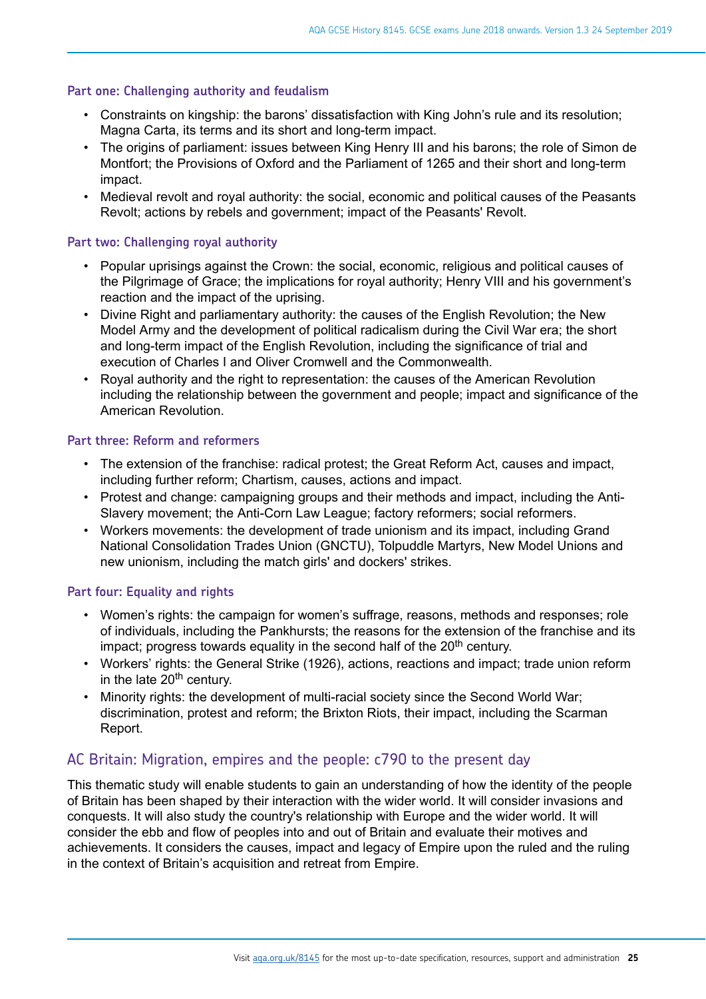### <span id="page-24-0"></span>**Part one: Challenging authority and feudalism**

- Constraints on kingship: the barons' dissatisfaction with King John's rule and its resolution; Magna Carta, its terms and its short and long-term impact.
- The origins of parliament: issues between King Henry III and his barons; the role of Simon de Montfort; the Provisions of Oxford and the Parliament of 1265 and their short and long-term impact.
- Medieval revolt and royal authority: the social, economic and political causes of the Peasants Revolt; actions by rebels and government; impact of the Peasants' Revolt.

### **Part two: Challenging royal authority**

- Popular uprisings against the Crown: the social, economic, religious and political causes of the Pilgrimage of Grace; the implications for royal authority; Henry VIII and his government's reaction and the impact of the uprising.
- Divine Right and parliamentary authority: the causes of the English Revolution; the New Model Army and the development of political radicalism during the Civil War era; the short and long-term impact of the English Revolution, including the significance of trial and execution of Charles I and Oliver Cromwell and the Commonwealth.
- Royal authority and the right to representation: the causes of the American Revolution including the relationship between the government and people; impact and significance of the American Revolution.

#### **Part three: Reform and reformers**

- The extension of the franchise: radical protest; the Great Reform Act, causes and impact, including further reform; Chartism, causes, actions and impact.
- Protest and change: campaigning groups and their methods and impact, including the Anti-Slavery movement; the Anti-Corn Law League; factory reformers; social reformers.
- Workers movements: the development of trade unionism and its impact, including Grand National Consolidation Trades Union (GNCTU), Tolpuddle Martyrs, New Model Unions and new unionism, including the match girls' and dockers' strikes.

### **Part four: Equality and rights**

- Women's rights: the campaign for women's suffrage, reasons, methods and responses; role of individuals, including the Pankhursts; the reasons for the extension of the franchise and its impact; progress towards equality in the second half of the 20<sup>th</sup> century.
- Workers' rights: the General Strike (1926), actions, reactions and impact; trade union reform in the late  $20<sup>th</sup>$  century.
- Minority rights: the development of multi-racial society since the Second World War; discrimination, protest and reform; the Brixton Riots, their impact, including the Scarman Report.

### AC Britain: Migration, empires and the people: c790 to the present day

This thematic study will enable students to gain an understanding of how the identity of the people of Britain has been shaped by their interaction with the wider world. It will consider invasions and conquests. It will also study the country's relationship with Europe and the wider world. It will consider the ebb and flow of peoples into and out of Britain and evaluate their motives and achievements. It considers the causes, impact and legacy of Empire upon the ruled and the ruling in the context of Britain's acquisition and retreat from Empire.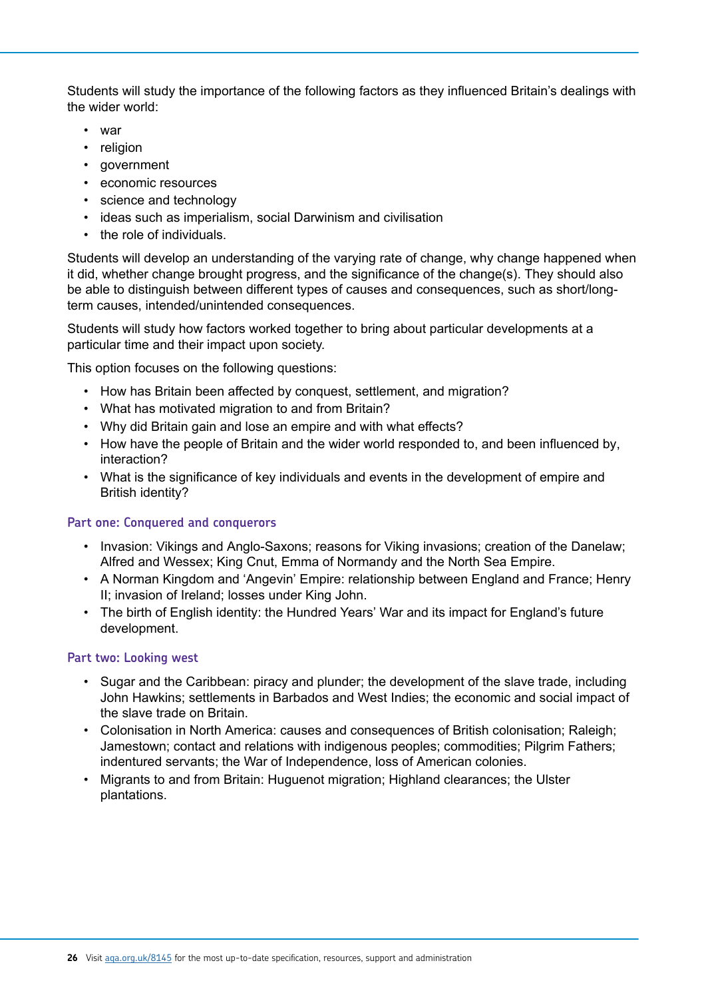Students will study the importance of the following factors as they influenced Britain's dealings with the wider world:

- war
- religion
- government
- economic resources
- science and technology
- ideas such as imperialism, social Darwinism and civilisation
- the role of individuals.

Students will develop an understanding of the varying rate of change, why change happened when it did, whether change brought progress, and the significance of the change(s). They should also be able to distinguish between different types of causes and consequences, such as short/longterm causes, intended/unintended consequences.

Students will study how factors worked together to bring about particular developments at a particular time and their impact upon society.

This option focuses on the following questions:

- How has Britain been affected by conquest, settlement, and migration?
- What has motivated migration to and from Britain?
- Why did Britain gain and lose an empire and with what effects?
- How have the people of Britain and the wider world responded to, and been influenced by, interaction?
- What is the significance of key individuals and events in the development of empire and British identity?

#### **Part one: Conquered and conquerors**

- Invasion: Vikings and Anglo-Saxons; reasons for Viking invasions; creation of the Danelaw; Alfred and Wessex; King Cnut, Emma of Normandy and the North Sea Empire.
- A Norman Kingdom and 'Angevin' Empire: relationship between England and France; Henry II; invasion of Ireland; losses under King John.
- The birth of English identity: the Hundred Years' War and its impact for England's future development.

#### **Part two: Looking west**

- Sugar and the Caribbean: piracy and plunder; the development of the slave trade, including John Hawkins; settlements in Barbados and West Indies; the economic and social impact of the slave trade on Britain.
- Colonisation in North America: causes and consequences of British colonisation; Raleigh; Jamestown; contact and relations with indigenous peoples; commodities; Pilgrim Fathers; indentured servants; the War of Independence, loss of American colonies.
- Migrants to and from Britain: Huguenot migration; Highland clearances; the Ulster plantations.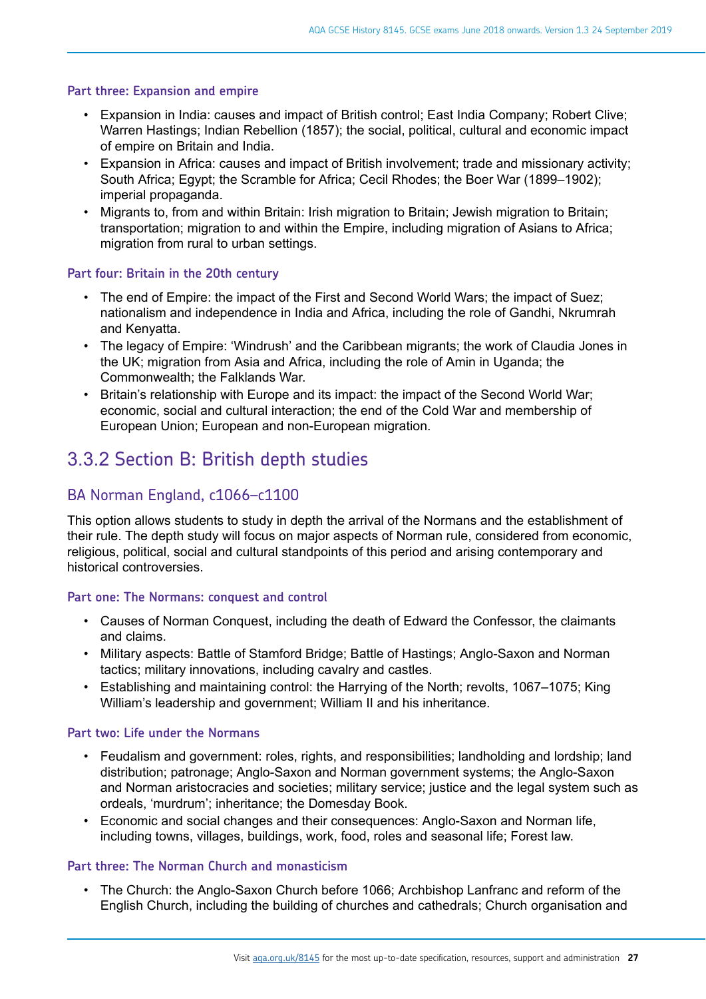### <span id="page-26-0"></span>**Part three: Expansion and empire**

- Expansion in India: causes and impact of British control; East India Company; Robert Clive; Warren Hastings; Indian Rebellion (1857); the social, political, cultural and economic impact of empire on Britain and India.
- Expansion in Africa: causes and impact of British involvement; trade and missionary activity; South Africa; Egypt; the Scramble for Africa; Cecil Rhodes; the Boer War (1899–1902); imperial propaganda.
- Migrants to, from and within Britain: Irish migration to Britain; Jewish migration to Britain; transportation; migration to and within the Empire, including migration of Asians to Africa; migration from rural to urban settings.

#### **Part four: Britain in the 20th century**

- The end of Empire: the impact of the First and Second World Wars; the impact of Suez; nationalism and independence in India and Africa, including the role of Gandhi, Nkrumrah and Kenyatta.
- The legacy of Empire: 'Windrush' and the Caribbean migrants; the work of Claudia Jones in the UK; migration from Asia and Africa, including the role of Amin in Uganda; the Commonwealth; the Falklands War.
- Britain's relationship with Europe and its impact: the impact of the Second World War; economic, social and cultural interaction; the end of the Cold War and membership of European Union; European and non-European migration.

### 3.3.2 Section B: British depth studies

### BA Norman England, c1066-c1100

This option allows students to study in depth the arrival of the Normans and the establishment of their rule. The depth study will focus on major aspects of Norman rule, considered from economic, religious, political, social and cultural standpoints of this period and arising contemporary and historical controversies.

#### **Part one: The Normans: conquest and control**

- Causes of Norman Conquest, including the death of Edward the Confessor, the claimants and claims.
- Military aspects: Battle of Stamford Bridge; Battle of Hastings; Anglo-Saxon and Norman tactics; military innovations, including cavalry and castles.
- Establishing and maintaining control: the Harrying of the North; revolts, 1067–1075; King William's leadership and government; William II and his inheritance.

### **Part two: Life under the Normans**

- Feudalism and government: roles, rights, and responsibilities; landholding and lordship; land distribution; patronage; Anglo-Saxon and Norman government systems; the Anglo-Saxon and Norman aristocracies and societies; military service; justice and the legal system such as ordeals, 'murdrum'; inheritance; the Domesday Book.
- Economic and social changes and their consequences: Anglo-Saxon and Norman life, including towns, villages, buildings, work, food, roles and seasonal life; Forest law.

#### **Part three: The Norman Church and monasticism**

• The Church: the Anglo-Saxon Church before 1066; Archbishop Lanfranc and reform of the English Church, including the building of churches and cathedrals; Church organisation and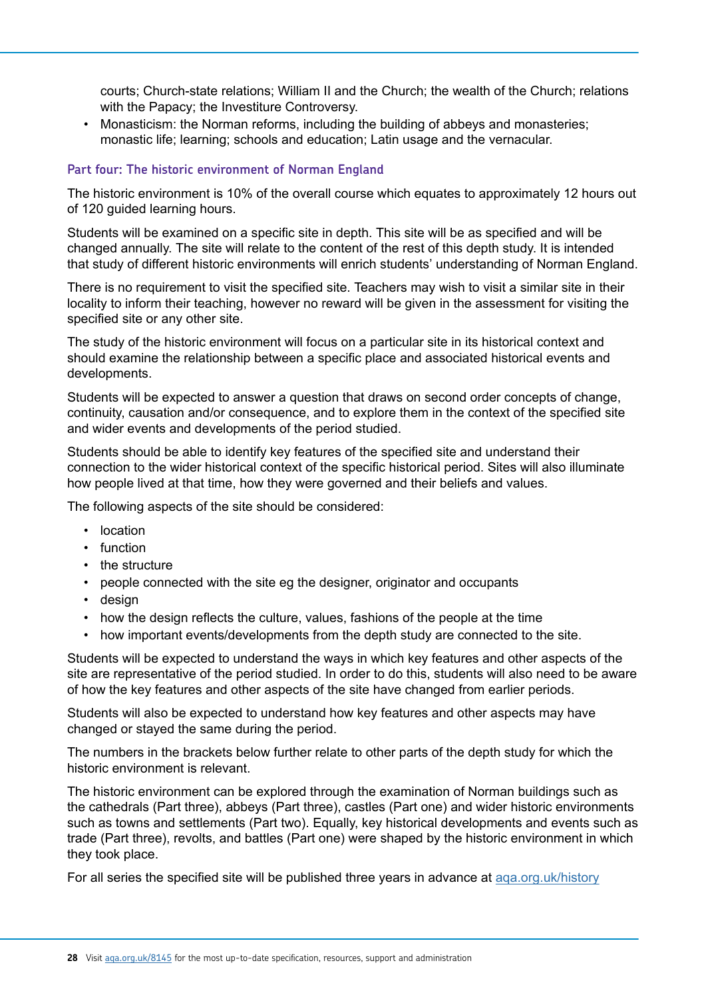courts; Church-state relations; William II and the Church; the wealth of the Church; relations with the Papacy; the Investiture Controversy.

• Monasticism: the Norman reforms, including the building of abbeys and monasteries; monastic life; learning; schools and education; Latin usage and the vernacular.

### **Part four: The historic environment of Norman England**

The historic environment is 10% of the overall course which equates to approximately 12 hours out of 120 guided learning hours.

Students will be examined on a specific site in depth. This site will be as specified and will be changed annually. The site will relate to the content of the rest of this depth study. It is intended that study of different historic environments will enrich students' understanding of Norman England.

There is no requirement to visit the specified site. Teachers may wish to visit a similar site in their locality to inform their teaching, however no reward will be given in the assessment for visiting the specified site or any other site.

The study of the historic environment will focus on a particular site in its historical context and should examine the relationship between a specific place and associated historical events and developments.

Students will be expected to answer a question that draws on second order concepts of change, continuity, causation and/or consequence, and to explore them in the context of the specified site and wider events and developments of the period studied.

Students should be able to identify key features of the specified site and understand their connection to the wider historical context of the specific historical period. Sites will also illuminate how people lived at that time, how they were governed and their beliefs and values.

The following aspects of the site should be considered:

- location
- function
- the structure
- people connected with the site eg the designer, originator and occupants
- design
- how the design reflects the culture, values, fashions of the people at the time
- how important events/developments from the depth study are connected to the site.

Students will be expected to understand the ways in which key features and other aspects of the site are representative of the period studied. In order to do this, students will also need to be aware of how the key features and other aspects of the site have changed from earlier periods.

Students will also be expected to understand how key features and other aspects may have changed or stayed the same during the period.

The numbers in the brackets below further relate to other parts of the depth study for which the historic environment is relevant.

The historic environment can be explored through the examination of Norman buildings such as the cathedrals (Part three), abbeys (Part three), castles (Part one) and wider historic environments such as towns and settlements (Part two). Equally, key historical developments and events such as trade (Part three), revolts, and battles (Part one) were shaped by the historic environment in which they took place.

For all series the specified site will be published three years in advance at [aqa.org.uk/history](http://www.aqa.org.uk/subjects/history)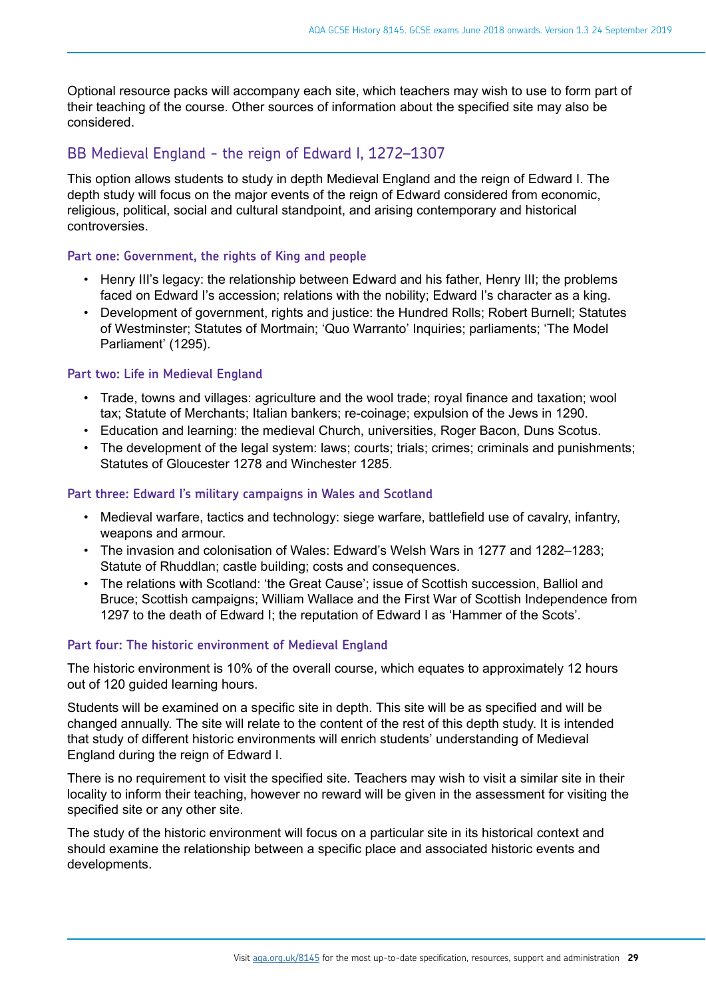<span id="page-28-0"></span>Optional resource packs will accompany each site, which teachers may wish to use to form part of their teaching of the course. Other sources of information about the specified site may also be considered.

### BB Medieval England - the reign of Edward I, 1272–1307

This option allows students to study in depth Medieval England and the reign of Edward I. The depth study will focus on the major events of the reign of Edward considered from economic, religious, political, social and cultural standpoint, and arising contemporary and historical controversies.

### **Part one: Government, the rights of King and people**

- Henry III's legacy: the relationship between Edward and his father. Henry III: the problems faced on Edward I's accession; relations with the nobility; Edward I's character as a king.
- Development of government, rights and justice: the Hundred Rolls; Robert Burnell; Statutes of Westminster; Statutes of Mortmain; 'Quo Warranto' Inquiries; parliaments; 'The Model Parliament' (1295).

### **Part two: Life in Medieval England**

- Trade, towns and villages: agriculture and the wool trade; royal finance and taxation; wool tax; Statute of Merchants; Italian bankers; re-coinage; expulsion of the Jews in 1290.
- Education and learning: the medieval Church, universities, Roger Bacon, Duns Scotus.
- The development of the legal system: laws; courts; trials; crimes; criminals and punishments; Statutes of Gloucester 1278 and Winchester 1285.

### **Part three: Edward I's military campaigns in Wales and Scotland**

- Medieval warfare, tactics and technology: siege warfare, battlefield use of cavalry, infantry, weapons and armour.
- The invasion and colonisation of Wales: Edward's Welsh Wars in 1277 and 1282–1283; Statute of Rhuddlan; castle building; costs and consequences.
- The relations with Scotland: 'the Great Cause'; issue of Scottish succession, Balliol and Bruce; Scottish campaigns; William Wallace and the First War of Scottish Independence from 1297 to the death of Edward I; the reputation of Edward I as 'Hammer of the Scots'.

#### **Part four: The historic environment of Medieval England**

The historic environment is 10% of the overall course, which equates to approximately 12 hours out of 120 quided learning hours.

Students will be examined on a specific site in depth. This site will be as specified and will be changed annually. The site will relate to the content of the rest of this depth study. It is intended that study of different historic environments will enrich students' understanding of Medieval England during the reign of Edward I.

There is no requirement to visit the specified site. Teachers may wish to visit a similar site in their locality to inform their teaching, however no reward will be given in the assessment for visiting the specified site or any other site.

The study of the historic environment will focus on a particular site in its historical context and should examine the relationship between a specific place and associated historic events and developments.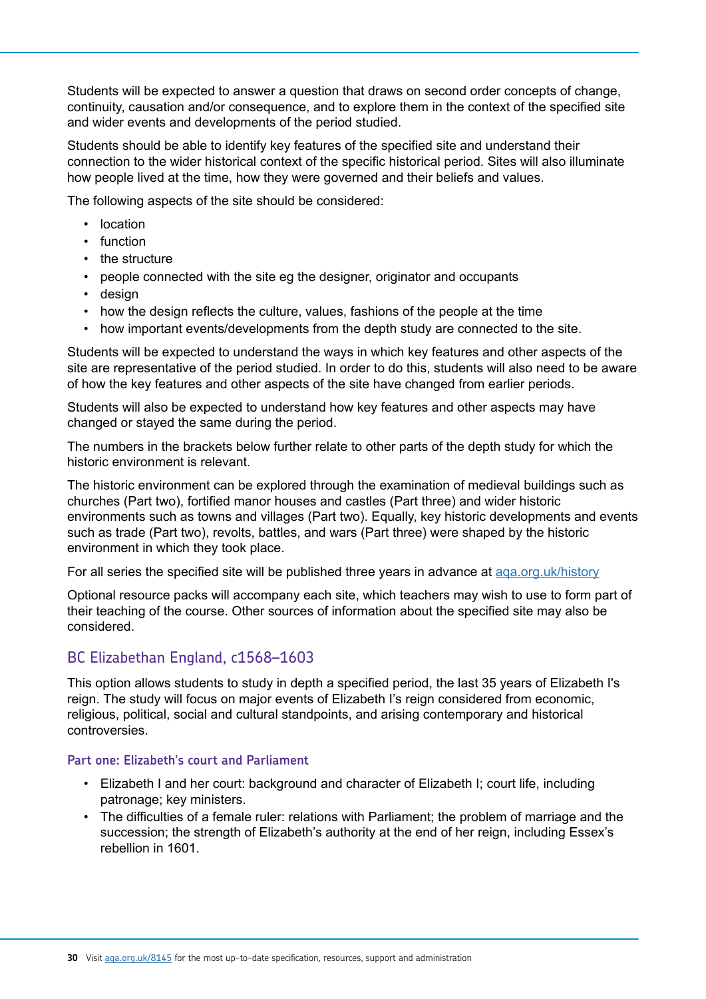<span id="page-29-0"></span>Students will be expected to answer a question that draws on second order concepts of change, continuity, causation and/or consequence, and to explore them in the context of the specified site and wider events and developments of the period studied.

Students should be able to identify key features of the specified site and understand their connection to the wider historical context of the specific historical period. Sites will also illuminate how people lived at the time, how they were governed and their beliefs and values.

The following aspects of the site should be considered:

- location
- function
- the structure
- people connected with the site eg the designer, originator and occupants
- design
- how the design reflects the culture, values, fashions of the people at the time
- how important events/developments from the depth study are connected to the site.

Students will be expected to understand the ways in which key features and other aspects of the site are representative of the period studied. In order to do this, students will also need to be aware of how the key features and other aspects of the site have changed from earlier periods.

Students will also be expected to understand how key features and other aspects may have changed or stayed the same during the period.

The numbers in the brackets below further relate to other parts of the depth study for which the historic environment is relevant.

The historic environment can be explored through the examination of medieval buildings such as churches (Part two), fortified manor houses and castles (Part three) and wider historic environments such as towns and villages (Part two). Equally, key historic developments and events such as trade (Part two), revolts, battles, and wars (Part three) were shaped by the historic environment in which they took place.

For all series the specified site will be published three years in advance at [aqa.org.uk/history](http://www.aqa.org.uk/subjects/history)

Optional resource packs will accompany each site, which teachers may wish to use to form part of their teaching of the course. Other sources of information about the specified site may also be considered.

### BC Elizabethan England, c1568–1603

This option allows students to study in depth a specified period, the last 35 years of Elizabeth I's reign. The study will focus on major events of Elizabeth I's reign considered from economic, religious, political, social and cultural standpoints, and arising contemporary and historical controversies.

#### **Part one: Elizabeth's court and Parliament**

- Elizabeth I and her court: background and character of Elizabeth I; court life, including patronage; key ministers.
- The difficulties of a female ruler: relations with Parliament; the problem of marriage and the succession; the strength of Elizabeth's authority at the end of her reign, including Essex's rebellion in 1601.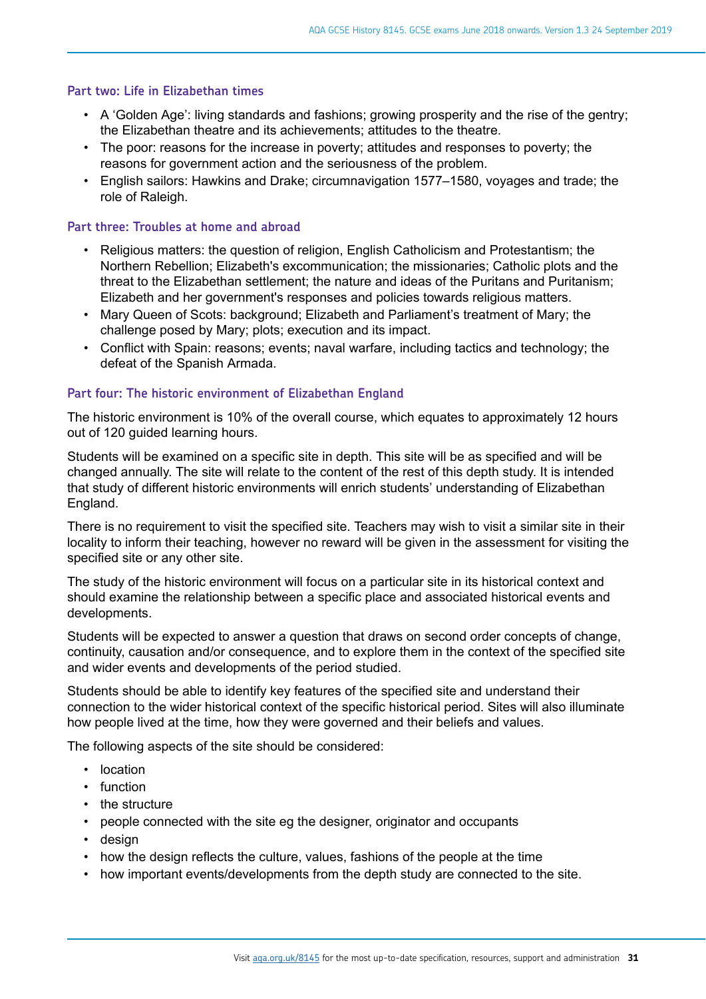### **Part two: Life in Elizabethan times**

- A 'Golden Age': living standards and fashions; growing prosperity and the rise of the gentry; the Elizabethan theatre and its achievements; attitudes to the theatre.
- The poor: reasons for the increase in poverty; attitudes and responses to poverty; the reasons for government action and the seriousness of the problem.
- English sailors: Hawkins and Drake; circumnavigation 1577–1580, voyages and trade; the role of Raleigh.

### **Part three: Troubles at home and abroad**

- Religious matters: the question of religion, English Catholicism and Protestantism; the Northern Rebellion; Elizabeth's excommunication; the missionaries; Catholic plots and the threat to the Elizabethan settlement; the nature and ideas of the Puritans and Puritanism; Elizabeth and her government's responses and policies towards religious matters.
- Mary Queen of Scots: background; Elizabeth and Parliament's treatment of Mary; the challenge posed by Mary; plots; execution and its impact.
- Conflict with Spain: reasons; events; naval warfare, including tactics and technology; the defeat of the Spanish Armada.

### **Part four: The historic environment of Elizabethan England**

The historic environment is 10% of the overall course, which equates to approximately 12 hours out of 120 guided learning hours.

Students will be examined on a specific site in depth. This site will be as specified and will be changed annually. The site will relate to the content of the rest of this depth study. It is intended that study of different historic environments will enrich students' understanding of Elizabethan England.

There is no requirement to visit the specified site. Teachers may wish to visit a similar site in their locality to inform their teaching, however no reward will be given in the assessment for visiting the specified site or any other site.

The study of the historic environment will focus on a particular site in its historical context and should examine the relationship between a specific place and associated historical events and developments.

Students will be expected to answer a question that draws on second order concepts of change, continuity, causation and/or consequence, and to explore them in the context of the specified site and wider events and developments of the period studied.

Students should be able to identify key features of the specified site and understand their connection to the wider historical context of the specific historical period. Sites will also illuminate how people lived at the time, how they were governed and their beliefs and values.

The following aspects of the site should be considered:

- location
- function
- the structure
- people connected with the site eg the designer, originator and occupants
- design
- how the design reflects the culture, values, fashions of the people at the time
- how important events/developments from the depth study are connected to the site.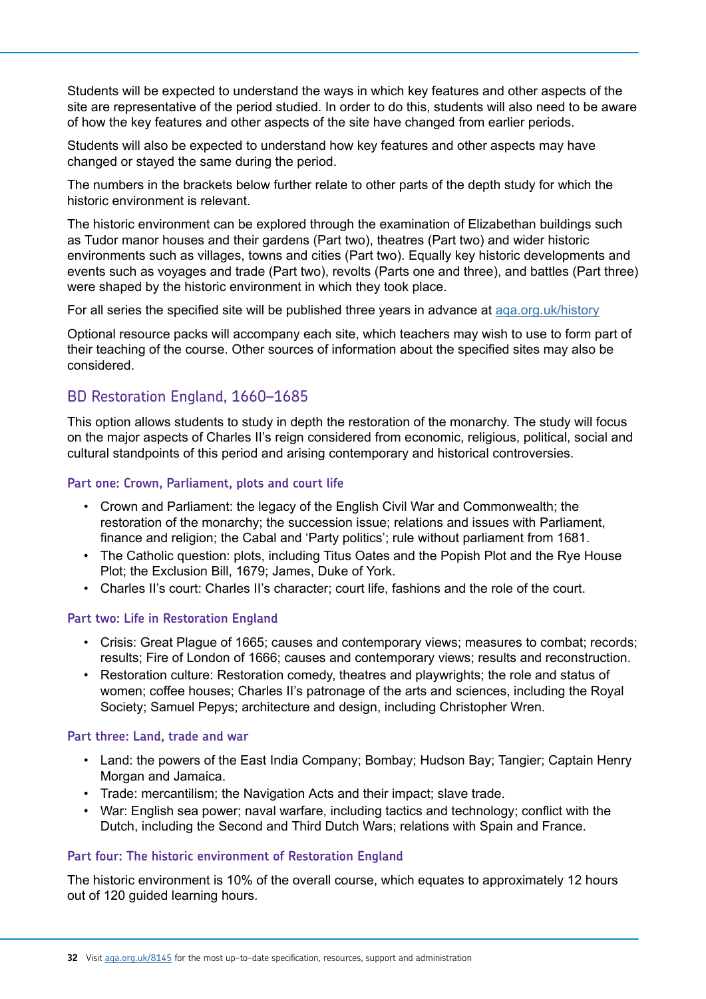<span id="page-31-0"></span>Students will be expected to understand the ways in which key features and other aspects of the site are representative of the period studied. In order to do this, students will also need to be aware of how the key features and other aspects of the site have changed from earlier periods.

Students will also be expected to understand how key features and other aspects may have changed or stayed the same during the period.

The numbers in the brackets below further relate to other parts of the depth study for which the historic environment is relevant.

The historic environment can be explored through the examination of Elizabethan buildings such as Tudor manor houses and their gardens (Part two), theatres (Part two) and wider historic environments such as villages, towns and cities (Part two). Equally key historic developments and events such as voyages and trade (Part two), revolts (Parts one and three), and battles (Part three) were shaped by the historic environment in which they took place.

For all series the specified site will be published three years in advance at [aqa.org.uk/history](http://www.aqa.org.uk/subjects/history)

Optional resource packs will accompany each site, which teachers may wish to use to form part of their teaching of the course. Other sources of information about the specified sites may also be considered.

### BD Restoration England, 1660–1685

This option allows students to study in depth the restoration of the monarchy. The study will focus on the major aspects of Charles II's reign considered from economic, religious, political, social and cultural standpoints of this period and arising contemporary and historical controversies.

### **Part one: Crown, Parliament, plots and court life**

- Crown and Parliament: the legacy of the English Civil War and Commonwealth; the restoration of the monarchy; the succession issue; relations and issues with Parliament, finance and religion; the Cabal and 'Party politics'; rule without parliament from 1681.
- The Catholic question: plots, including Titus Oates and the Popish Plot and the Rye House Plot; the Exclusion Bill, 1679; James, Duke of York.
- Charles II's court: Charles II's character; court life, fashions and the role of the court.

### **Part two: Life in Restoration England**

- Crisis: Great Plague of 1665; causes and contemporary views; measures to combat; records; results; Fire of London of 1666; causes and contemporary views; results and reconstruction.
- Restoration culture: Restoration comedy, theatres and playwrights; the role and status of women; coffee houses; Charles II's patronage of the arts and sciences, including the Royal Society; Samuel Pepys; architecture and design, including Christopher Wren.

#### **Part three: Land, trade and war**

- Land: the powers of the East India Company; Bombay; Hudson Bay; Tangier; Captain Henry Morgan and Jamaica.
- Trade: mercantilism; the Navigation Acts and their impact; slave trade.
- War: English sea power; naval warfare, including tactics and technology; conflict with the Dutch, including the Second and Third Dutch Wars; relations with Spain and France.

#### **Part four: The historic environment of Restoration England**

The historic environment is 10% of the overall course, which equates to approximately 12 hours out of 120 guided learning hours.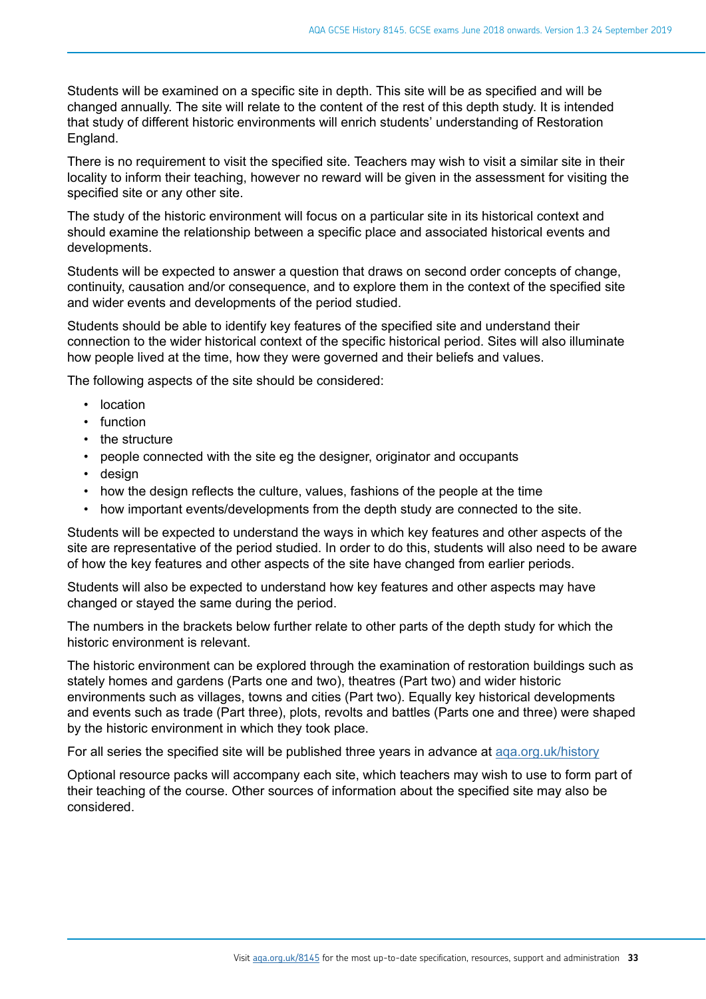Students will be examined on a specific site in depth. This site will be as specified and will be changed annually. The site will relate to the content of the rest of this depth study. It is intended that study of different historic environments will enrich students' understanding of Restoration England.

There is no requirement to visit the specified site. Teachers may wish to visit a similar site in their locality to inform their teaching, however no reward will be given in the assessment for visiting the specified site or any other site.

The study of the historic environment will focus on a particular site in its historical context and should examine the relationship between a specific place and associated historical events and developments.

Students will be expected to answer a question that draws on second order concepts of change, continuity, causation and/or consequence, and to explore them in the context of the specified site and wider events and developments of the period studied.

Students should be able to identify key features of the specified site and understand their connection to the wider historical context of the specific historical period. Sites will also illuminate how people lived at the time, how they were governed and their beliefs and values.

The following aspects of the site should be considered:

- location
- function
- the structure
- people connected with the site eg the designer, originator and occupants
- design
- how the design reflects the culture, values, fashions of the people at the time
- how important events/developments from the depth study are connected to the site.

Students will be expected to understand the ways in which key features and other aspects of the site are representative of the period studied. In order to do this, students will also need to be aware of how the key features and other aspects of the site have changed from earlier periods.

Students will also be expected to understand how key features and other aspects may have changed or stayed the same during the period.

The numbers in the brackets below further relate to other parts of the depth study for which the historic environment is relevant.

The historic environment can be explored through the examination of restoration buildings such as stately homes and gardens (Parts one and two), theatres (Part two) and wider historic environments such as villages, towns and cities (Part two). Equally key historical developments and events such as trade (Part three), plots, revolts and battles (Parts one and three) were shaped by the historic environment in which they took place.

For all series the specified site will be published three years in advance at [aqa.org.uk/history](http://www.aqa.org.uk/subjects/history)

Optional resource packs will accompany each site, which teachers may wish to use to form part of their teaching of the course. Other sources of information about the specified site may also be considered.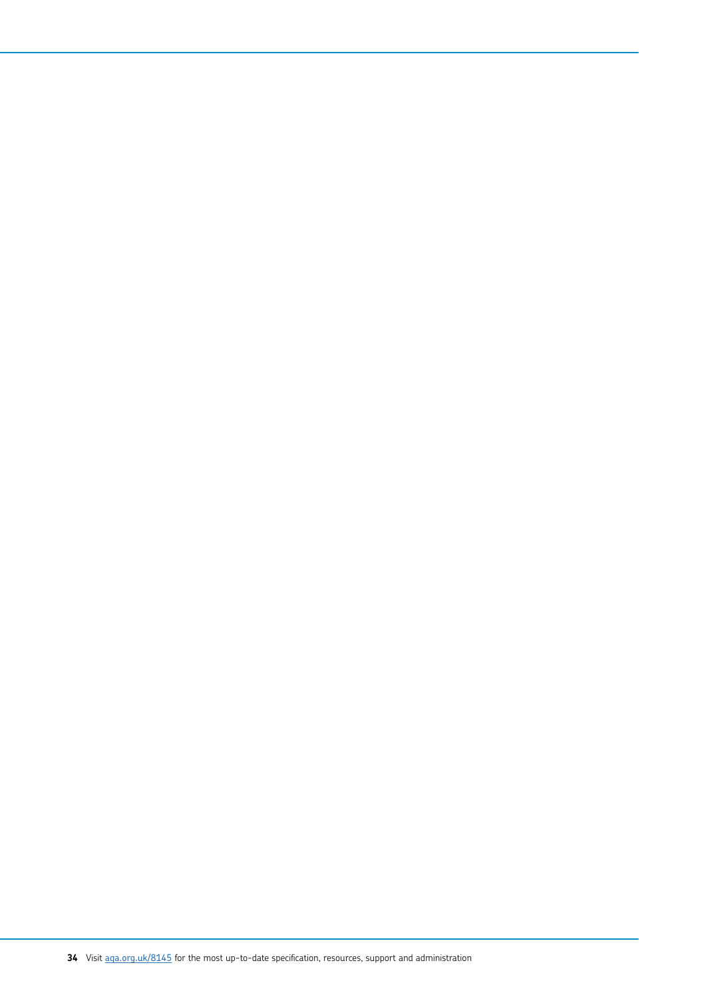Visit [aqa.org.uk/8145](http://aqa.org.uk/8145) for the most up-to-date specification, resources, support and administration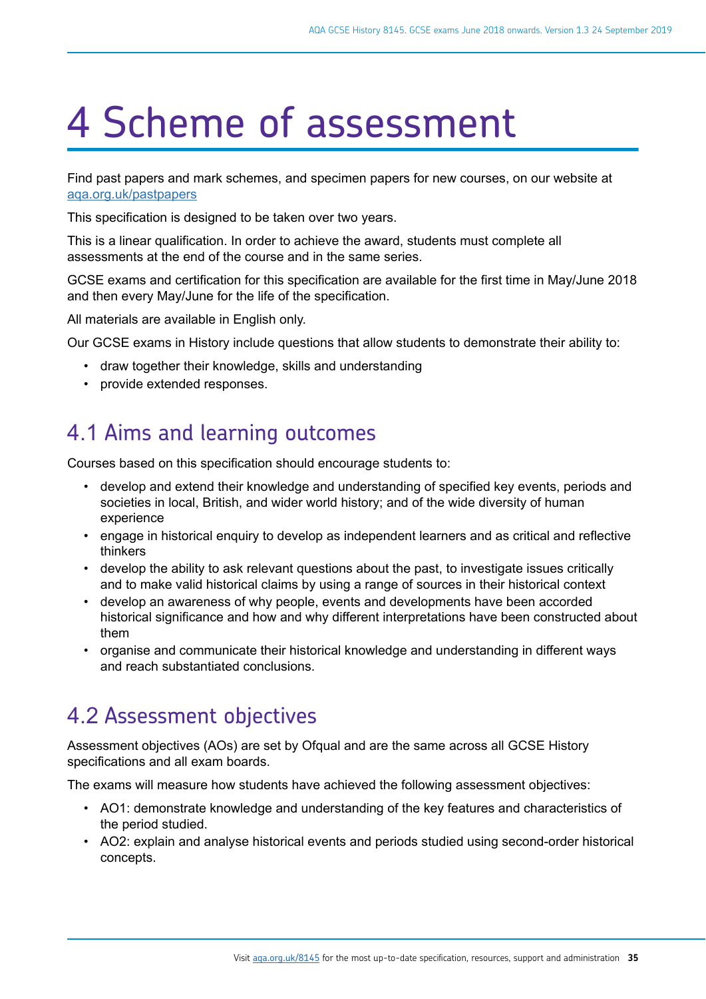# <span id="page-34-0"></span>4 Scheme of assessment

Find past papers and mark schemes, and specimen papers for new courses, on our website at [aqa.org.uk/pastpapers](http://www.aqa.org.uk/pastpapers)

This specification is designed to be taken over two years.

This is a linear qualification. In order to achieve the award, students must complete all assessments at the end of the course and in the same series.

GCSE exams and certification for this specification are available for the first time in May/June 2018 and then every May/June for the life of the specification.

All materials are available in English only.

Our GCSE exams in History include questions that allow students to demonstrate their ability to:

- draw together their knowledge, skills and understanding
- provide extended responses.

# 4.1 Aims and learning outcomes

Courses based on this specification should encourage students to:

- develop and extend their knowledge and understanding of specified key events, periods and societies in local, British, and wider world history; and of the wide diversity of human experience
- engage in historical enquiry to develop as independent learners and as critical and reflective thinkers
- develop the ability to ask relevant questions about the past, to investigate issues critically and to make valid historical claims by using a range of sources in their historical context
- develop an awareness of why people, events and developments have been accorded historical significance and how and why different interpretations have been constructed about them
- organise and communicate their historical knowledge and understanding in different ways and reach substantiated conclusions.

# 4.2 Assessment objectives

Assessment objectives (AOs) are set by Ofqual and are the same across all GCSE History specifications and all exam boards.

The exams will measure how students have achieved the following assessment objectives:

- AO1: demonstrate knowledge and understanding of the key features and characteristics of the period studied.
- AO2: explain and analyse historical events and periods studied using second-order historical concepts.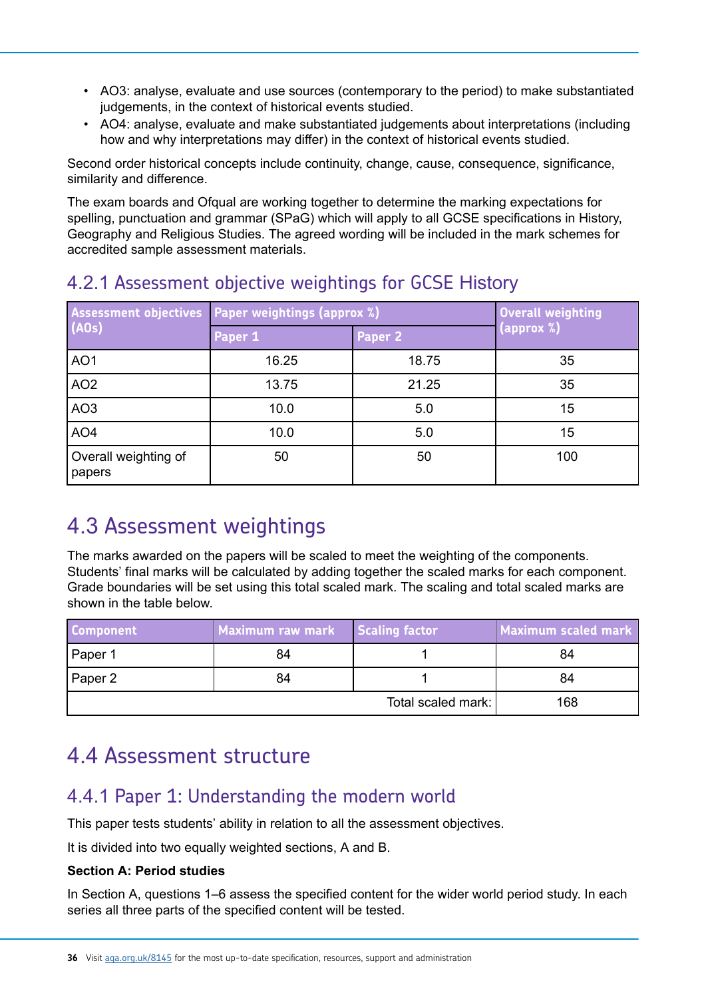- <span id="page-35-0"></span>• AO3: analyse, evaluate and use sources (contemporary to the period) to make substantiated judgements, in the context of historical events studied.
- AO4: analyse, evaluate and make substantiated judgements about interpretations (including how and why interpretations may differ) in the context of historical events studied.

Second order historical concepts include continuity, change, cause, consequence, significance, similarity and difference.

The exam boards and Ofqual are working together to determine the marking expectations for spelling, punctuation and grammar (SPaG) which will apply to all GCSE specifications in History, Geography and Religious Studies. The agreed wording will be included in the mark schemes for accredited sample assessment materials.

| Assessment objectives Paper weightings (approx %) |         | <b>Overall weighting</b> |            |
|---------------------------------------------------|---------|--------------------------|------------|
| (AOS)                                             | Paper 1 | Paper 2                  | (approx %) |
| AO1                                               | 16.25   | 18.75                    | 35         |
| AO <sub>2</sub>                                   | 13.75   | 21.25                    | 35         |
| AO <sub>3</sub>                                   | 10.0    | 5.0                      | 15         |
| AO <sub>4</sub>                                   | 10.0    | 5.0                      | 15         |
| Overall weighting of<br>papers                    | 50      | 50                       | 100        |

### 4.2.1 Assessment objective weightings for GCSE History

### 4.3 Assessment weightings

The marks awarded on the papers will be scaled to meet the weighting of the components. Students' final marks will be calculated by adding together the scaled marks for each component. Grade boundaries will be set using this total scaled mark. The scaling and total scaled marks are shown in the table below.

| <b>Component</b> | <b>Maximum raw mark</b>   | Scaling factor | Maximum scaled mark |
|------------------|---------------------------|----------------|---------------------|
| Paper 1          | 84                        |                | 84                  |
| Paper 2          | 84                        |                | 84                  |
|                  | Total scaled mark:<br>168 |                |                     |

# 4.4 Assessment structure

### 4.4.1 Paper 1: Understanding the modern world

This paper tests students' ability in relation to all the assessment objectives.

It is divided into two equally weighted sections, A and B.

### **Section A: Period studies**

In Section A, questions 1–6 assess the specified content for the wider world period study. In each series all three parts of the specified content will be tested.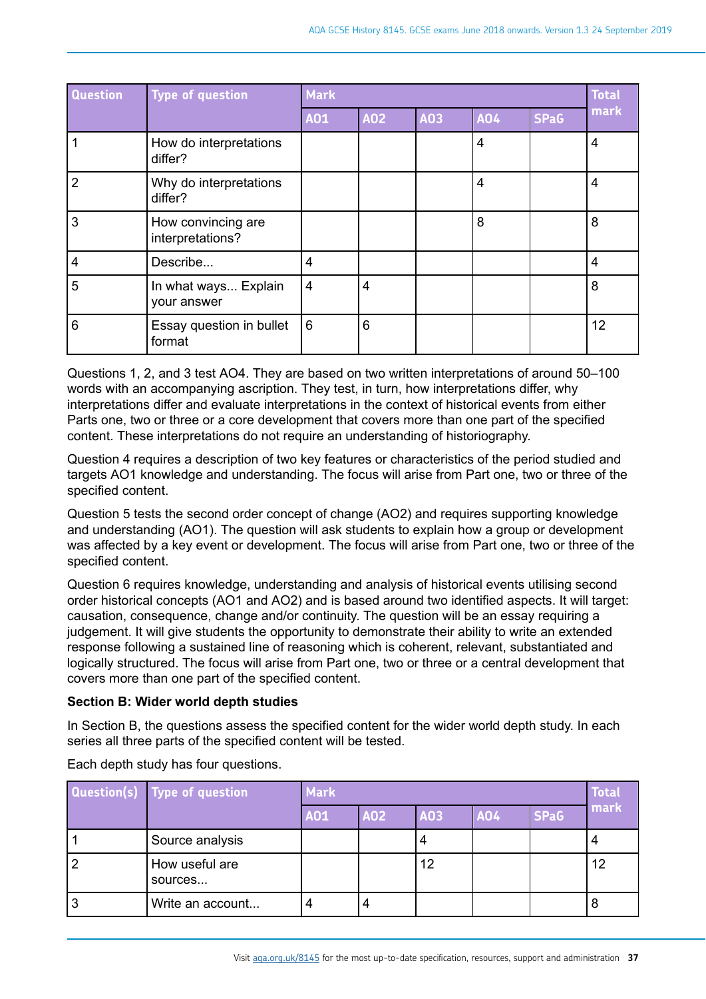| Question       | <b>Type of question</b>                | Mark           |     |     |                |             | <b>Total</b>   |
|----------------|----------------------------------------|----------------|-----|-----|----------------|-------------|----------------|
|                |                                        | A01            | A02 | A03 | A04            | <b>SPaG</b> | mark           |
|                | How do interpretations<br>differ?      |                |     |     | $\overline{4}$ |             | $\overline{4}$ |
| $\overline{2}$ | Why do interpretations<br>differ?      |                |     |     | $\overline{4}$ |             | 4              |
| 3              | How convincing are<br>interpretations? |                |     |     | 8              |             | 8              |
| $\overline{4}$ | Describe                               | 4              |     |     |                |             | 4              |
| 5              | In what ways Explain<br>your answer    | $\overline{4}$ | 4   |     |                |             | 8              |
| 6              | Essay question in bullet<br>format     | 6              | 6   |     |                |             | 12             |

Questions 1, 2, and 3 test AO4. They are based on two written interpretations of around 50–100 words with an accompanying ascription. They test, in turn, how interpretations differ, why interpretations differ and evaluate interpretations in the context of historical events from either Parts one, two or three or a core development that covers more than one part of the specified content. These interpretations do not require an understanding of historiography.

Question 4 requires a description of two key features or characteristics of the period studied and targets AO1 knowledge and understanding. The focus will arise from Part one, two or three of the specified content.

Question 5 tests the second order concept of change (AO2) and requires supporting knowledge and understanding (AO1). The question will ask students to explain how a group or development was affected by a key event or development. The focus will arise from Part one, two or three of the specified content.

Question 6 requires knowledge, understanding and analysis of historical events utilising second order historical concepts (AO1 and AO2) and is based around two identified aspects. It will target: causation, consequence, change and/or continuity. The question will be an essay requiring a judgement. It will give students the opportunity to demonstrate their ability to write an extended response following a sustained line of reasoning which is coherent, relevant, substantiated and logically structured. The focus will arise from Part one, two or three or a central development that covers more than one part of the specified content.

#### **Section B: Wider world depth studies**

In Section B, the questions assess the specified content for the wider world depth study. In each series all three parts of the specified content will be tested.

|   | Question(s) Type of question | <b>Mark</b> |     |     |     |             | <b>Total</b> |
|---|------------------------------|-------------|-----|-----|-----|-------------|--------------|
|   |                              | A01         | A02 | A03 | A04 | <b>SPaG</b> | mark         |
|   | Source analysis              |             |     | 4   |     |             |              |
| 2 | How useful are<br>sources    |             |     | 12  |     |             | 12           |
| 3 | Write an account             |             |     |     |     |             | 8            |

Each depth study has four questions.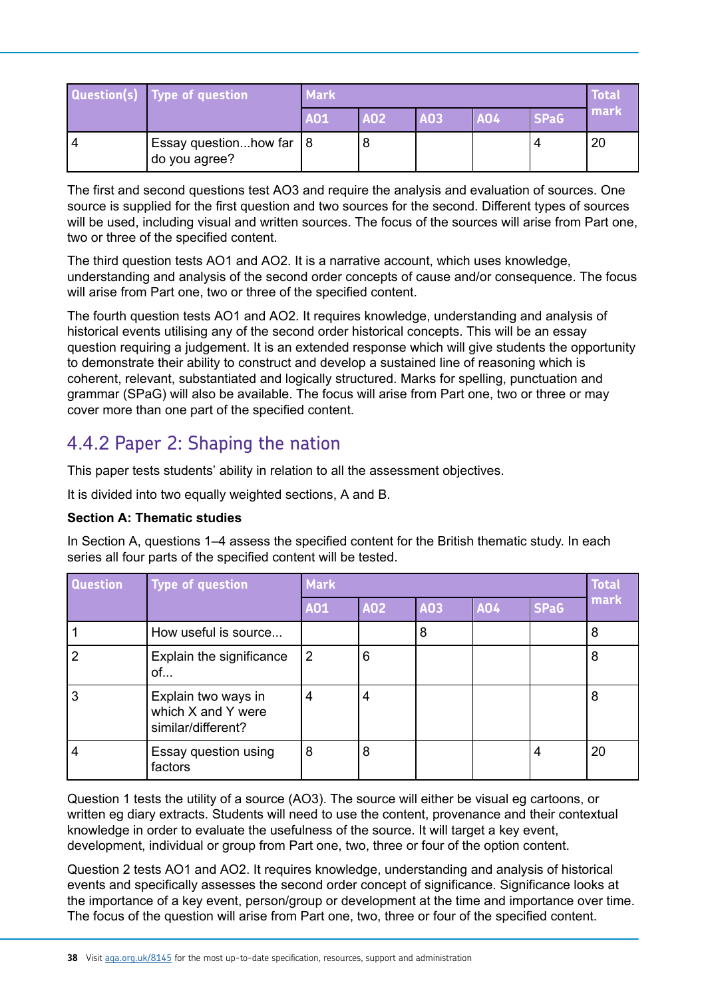<span id="page-37-0"></span>

|    | Question(s) Type of question                  | <b>Mark</b> | Total |     |     |             |      |
|----|-----------------------------------------------|-------------|-------|-----|-----|-------------|------|
|    |                                               | A01         | A02   | A03 | A04 | <b>SPaG</b> | mark |
| 14 | Essay question how far $ 8 $<br>do you agree? |             |       |     |     |             | 20   |

The first and second questions test AO3 and require the analysis and evaluation of sources. One source is supplied for the first question and two sources for the second. Different types of sources will be used, including visual and written sources. The focus of the sources will arise from Part one, two or three of the specified content.

The third question tests AO1 and AO2. It is a narrative account, which uses knowledge, understanding and analysis of the second order concepts of cause and/or consequence. The focus will arise from Part one, two or three of the specified content.

The fourth question tests AO1 and AO2. It requires knowledge, understanding and analysis of historical events utilising any of the second order historical concepts. This will be an essay question requiring a judgement. It is an extended response which will give students the opportunity to demonstrate their ability to construct and develop a sustained line of reasoning which is coherent, relevant, substantiated and logically structured. Marks for spelling, punctuation and grammar (SPaG) will also be available. The focus will arise from Part one, two or three or may cover more than one part of the specified content.

### 4.4.2 Paper 2: Shaping the nation

This paper tests students' ability in relation to all the assessment objectives.

It is divided into two equally weighted sections, A and B.

### **Section A: Thematic studies**

In Section A, questions 1–4 assess the specified content for the British thematic study. In each series all four parts of the specified content will be tested.

| Question | <b>Type of question</b>                                         | <b>Mark</b>    |     |     |     |             |      |
|----------|-----------------------------------------------------------------|----------------|-----|-----|-----|-------------|------|
|          |                                                                 | A01            | A02 | A03 | A04 | <b>SPaG</b> | mark |
|          | How useful is source                                            |                |     | 8   |     |             | 8    |
| 2        | Explain the significance<br>of                                  | 2              | 6   |     |     |             | 8    |
| 3        | Explain two ways in<br>which X and Y were<br>similar/different? | $\overline{4}$ | 4   |     |     |             | 8    |
|          | Essay question using<br>factors                                 | 8              | 8   |     |     | 4           | 20   |

Question 1 tests the utility of a source (AO3). The source will either be visual eg cartoons, or written eg diary extracts. Students will need to use the content, provenance and their contextual knowledge in order to evaluate the usefulness of the source. It will target a key event, development, individual or group from Part one, two, three or four of the option content.

Question 2 tests AO1 and AO2. It requires knowledge, understanding and analysis of historical events and specifically assesses the second order concept of significance. Significance looks at the importance of a key event, person/group or development at the time and importance over time. The focus of the question will arise from Part one, two, three or four of the specified content.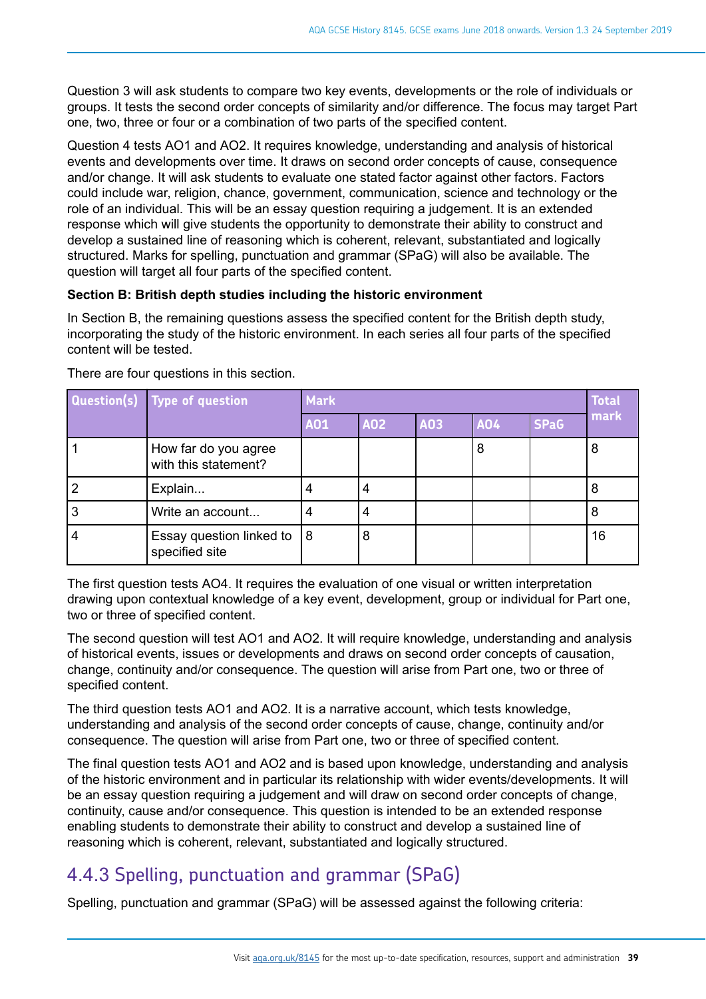Question 3 will ask students to compare two key events, developments or the role of individuals or groups. It tests the second order concepts of similarity and/or difference. The focus may target Part one, two, three or four or a combination of two parts of the specified content.

Question 4 tests AO1 and AO2. It requires knowledge, understanding and analysis of historical events and developments over time. It draws on second order concepts of cause, consequence and/or change. It will ask students to evaluate one stated factor against other factors. Factors could include war, religion, chance, government, communication, science and technology or the role of an individual. This will be an essay question requiring a judgement. It is an extended response which will give students the opportunity to demonstrate their ability to construct and develop a sustained line of reasoning which is coherent, relevant, substantiated and logically structured. Marks for spelling, punctuation and grammar (SPaG) will also be available. The question will target all four parts of the specified content.

### **Section B: British depth studies including the historic environment**

In Section B, the remaining questions assess the specified content for the British depth study, incorporating the study of the historic environment. In each series all four parts of the specified content will be tested.

| Question(s) Type of question                 | <b>Mark</b> |     |     |            |             | <b>Total</b> |
|----------------------------------------------|-------------|-----|-----|------------|-------------|--------------|
|                                              | A01         | A02 | A03 | <b>A04</b> | <b>SPaG</b> | mark         |
| How far do you agree<br>with this statement? |             |     |     | 8          |             |              |
| Explain                                      |             |     |     |            |             |              |
| Write an account                             |             |     |     |            |             |              |
| Essay question linked to<br>specified site   | 8           | 8   |     |            |             | 16           |

### There are four questions in this section.

The first question tests AO4. It requires the evaluation of one visual or written interpretation drawing upon contextual knowledge of a key event, development, group or individual for Part one, two or three of specified content.

The second question will test AO1 and AO2. It will require knowledge, understanding and analysis of historical events, issues or developments and draws on second order concepts of causation, change, continuity and/or consequence. The question will arise from Part one, two or three of specified content.

The third question tests AO1 and AO2. It is a narrative account, which tests knowledge, understanding and analysis of the second order concepts of cause, change, continuity and/or consequence. The question will arise from Part one, two or three of specified content.

The final question tests AO1 and AO2 and is based upon knowledge, understanding and analysis of the historic environment and in particular its relationship with wider events/developments. It will be an essay question requiring a judgement and will draw on second order concepts of change, continuity, cause and/or consequence. This question is intended to be an extended response enabling students to demonstrate their ability to construct and develop a sustained line of reasoning which is coherent, relevant, substantiated and logically structured.

### 4.4.3 Spelling, punctuation and grammar (SPaG)

Spelling, punctuation and grammar (SPaG) will be assessed against the following criteria: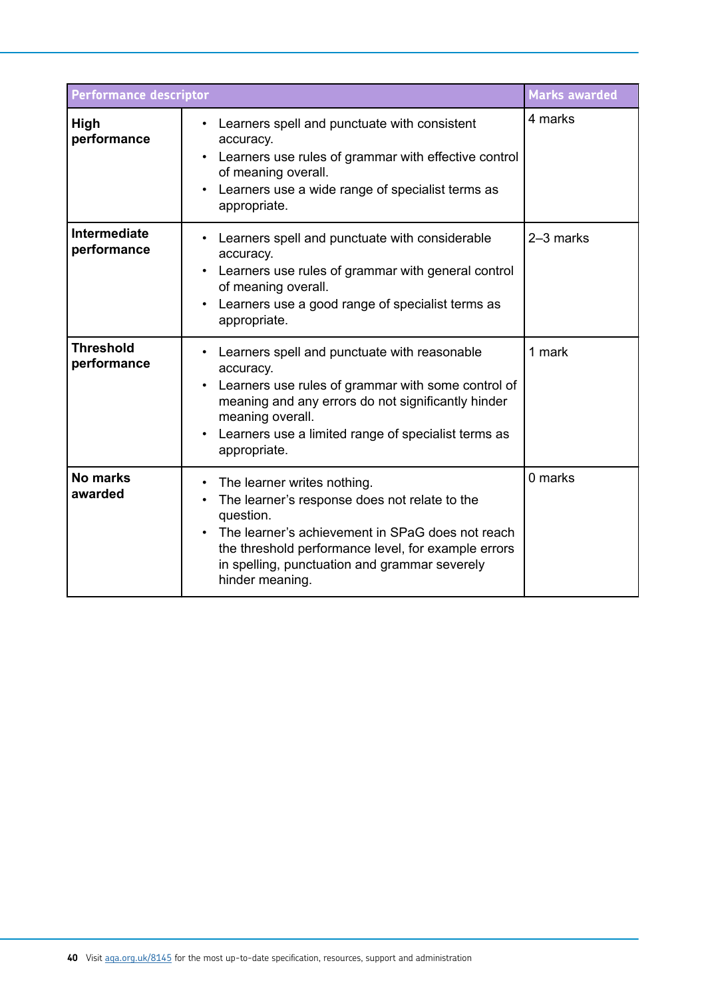| <b>Performance descriptor</b>      |                                                                                                                                                                                                                                                                          | <b>Marks awarded</b> |
|------------------------------------|--------------------------------------------------------------------------------------------------------------------------------------------------------------------------------------------------------------------------------------------------------------------------|----------------------|
| High<br>performance                | Learners spell and punctuate with consistent<br>accuracy.<br>• Learners use rules of grammar with effective control<br>of meaning overall.<br>Learners use a wide range of specialist terms as<br>appropriate.                                                           | 4 marks              |
| <b>Intermediate</b><br>performance | Learners spell and punctuate with considerable<br>accuracy.<br>Learners use rules of grammar with general control<br>of meaning overall.<br>Learners use a good range of specialist terms as<br>appropriate.                                                             | 2-3 marks            |
| <b>Threshold</b><br>performance    | Learners spell and punctuate with reasonable<br>accuracy.<br>Learners use rules of grammar with some control of<br>meaning and any errors do not significantly hinder<br>meaning overall.<br>Learners use a limited range of specialist terms as<br>appropriate.         | 1 mark               |
| <b>No marks</b><br>awarded         | The learner writes nothing.<br>The learner's response does not relate to the<br>question.<br>The learner's achievement in SPaG does not reach<br>the threshold performance level, for example errors<br>in spelling, punctuation and grammar severely<br>hinder meaning. | 0 marks              |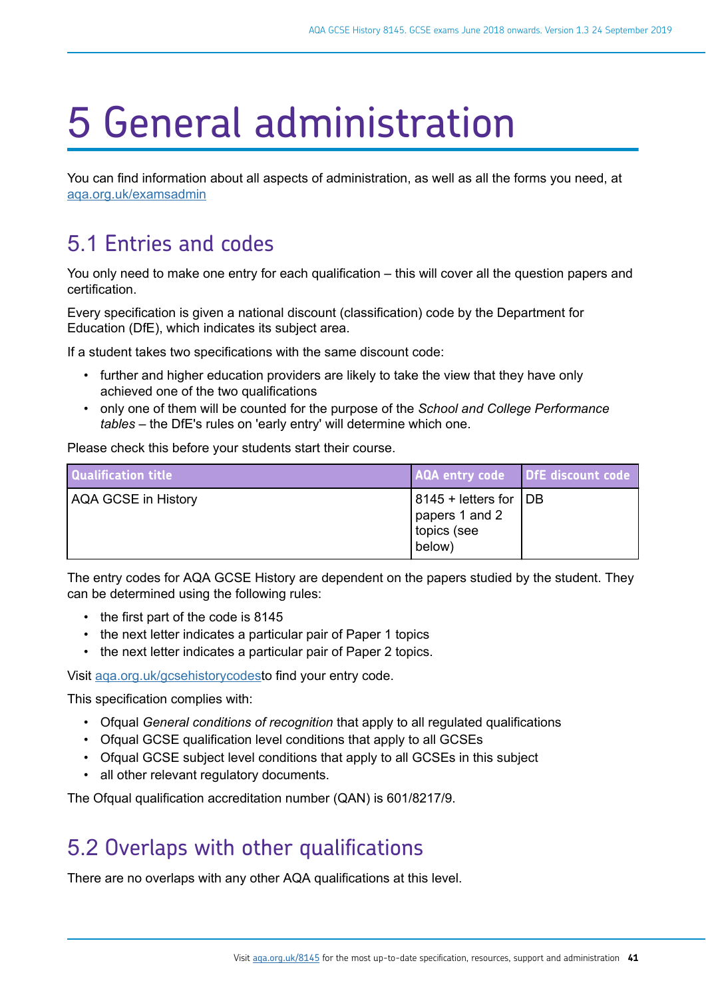# <span id="page-40-0"></span>5 General administration

You can find information about all aspects of administration, as well as all the forms you need, at [aqa.org.uk/examsadmin](http://aqa.org.uk/examsadmin)

# 5.1 Entries and codes

You only need to make one entry for each qualification – this will cover all the question papers and certification.

Every specification is given a national discount (classification) code by the Department for Education (DfE), which indicates its subject area.

If a student takes two specifications with the same discount code:

- further and higher education providers are likely to take the view that they have only achieved one of the two qualifications
- only one of them will be counted for the purpose of the *School and College Performance tables* – the DfE's rules on 'early entry' will determine which one.

Please check this before your students start their course.

| Qualification title |                                                                   | AQA entry code   DfE discount code |
|---------------------|-------------------------------------------------------------------|------------------------------------|
| AQA GCSE in History | 8145 + letters for  DB<br>papers 1 and 2<br>topics (see<br>below) |                                    |

The entry codes for AQA GCSE History are dependent on the papers studied by the student. They can be determined using the following rules:

- the first part of the code is 8145
- the next letter indicates a particular pair of Paper 1 topics
- the next letter indicates a particular pair of Paper 2 topics.

Visit [aqa.org.uk/gcsehistorycodes](http://www.aqa.org.uk/gcsehistorycodes)to find your entry code.

This specification complies with:

- Ofqual *General conditions of recognition* that apply to all regulated qualifications
- Ofqual GCSE qualification level conditions that apply to all GCSEs
- Ofqual GCSE subject level conditions that apply to all GCSEs in this subject
- all other relevant regulatory documents.

The Ofqual qualification accreditation number (QAN) is 601/8217/9.

# 5.2 Overlaps with other qualifications

There are no overlaps with any other AQA qualifications at this level.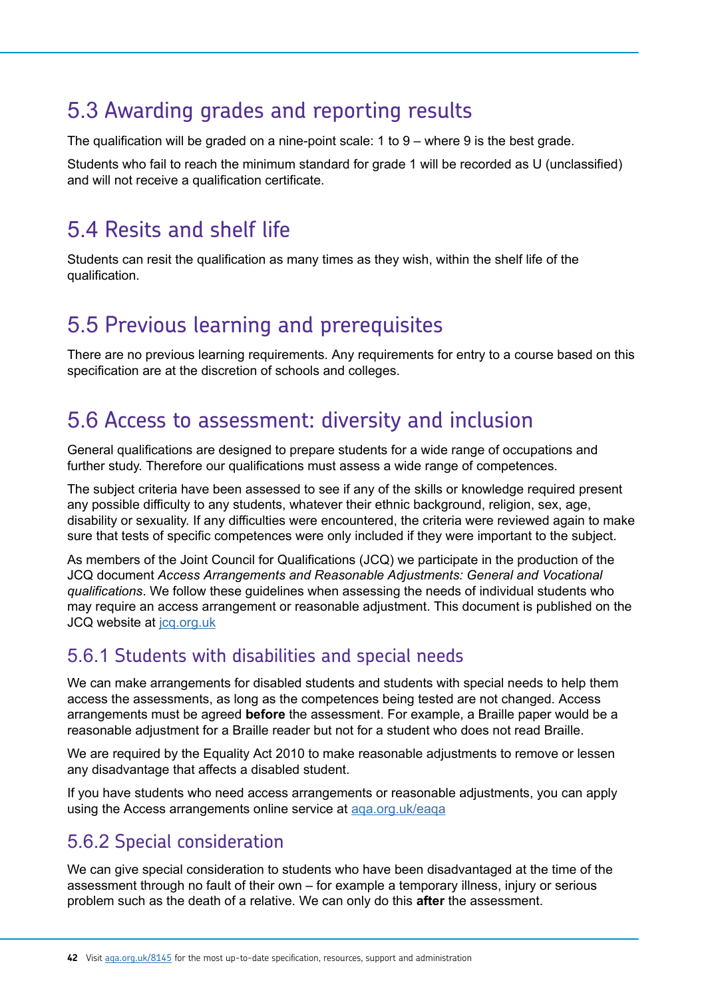# <span id="page-41-0"></span>5.3 Awarding grades and reporting results

The qualification will be graded on a nine-point scale: 1 to  $9$  – where 9 is the best grade.

Students who fail to reach the minimum standard for grade 1 will be recorded as U (unclassified) and will not receive a qualification certificate.

# 5.4 Resits and shelf life

Students can resit the qualification as many times as they wish, within the shelf life of the qualification.

# 5.5 Previous learning and prerequisites

There are no previous learning requirements. Any requirements for entry to a course based on this specification are at the discretion of schools and colleges.

# 5.6 Access to assessment: diversity and inclusion

General qualifications are designed to prepare students for a wide range of occupations and further study. Therefore our qualifications must assess a wide range of competences.

The subject criteria have been assessed to see if any of the skills or knowledge required present any possible difficulty to any students, whatever their ethnic background, religion, sex, age, disability or sexuality. If any difficulties were encountered, the criteria were reviewed again to make sure that tests of specific competences were only included if they were important to the subject.

As members of the Joint Council for Qualifications (JCQ) we participate in the production of the JCQ document *Access Arrangements and Reasonable Adjustments: General and Vocational qualifications*. We follow these guidelines when assessing the needs of individual students who may require an access arrangement or reasonable adjustment. This document is published on the JCQ website at [jcq.org.uk](http://www.jcq.org.uk/)

### 5.6.1 Students with disabilities and special needs

We can make arrangements for disabled students and students with special needs to help them access the assessments, as long as the competences being tested are not changed. Access arrangements must be agreed **before** the assessment. For example, a Braille paper would be a reasonable adjustment for a Braille reader but not for a student who does not read Braille.

We are required by the Equality Act 2010 to make reasonable adjustments to remove or lessen any disadvantage that affects a disabled student.

If you have students who need access arrangements or reasonable adjustments, you can apply using the Access arrangements online service at [aqa.org.uk/eaqa](http://www.aqa.org.uk/eaqa)

### 5.6.2 Special consideration

We can give special consideration to students who have been disadvantaged at the time of the assessment through no fault of their own – for example a temporary illness, injury or serious problem such as the death of a relative. We can only do this **after** the assessment.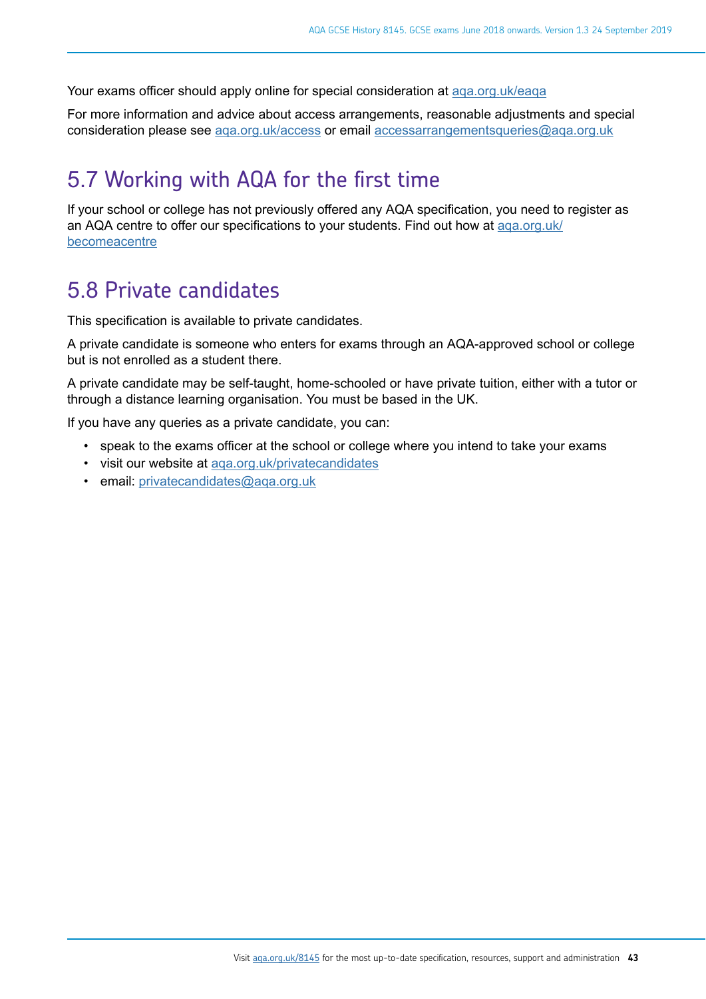<span id="page-42-0"></span>Your exams officer should apply online for special consideration at [aqa.org.uk/eaqa](http://www.aqa.org.uk/eaqa)

For more information and advice about access arrangements, reasonable adjustments and special consideration please see [aqa.org.uk/access](http://www.aqa.org.uk/access) or email [accessarrangementsqueries@aqa.org.uk](mailto:accessarrangementsqueries@aqa.org.uk)

### 5.7 Working with AQA for the first time

If your school or college has not previously offered any AQA specification, you need to register as an AQA centre to offer our specifications to your students. Find out how at [aqa.org.uk/](http://www.aqa.org.uk/becomeacentre) [becomeacentre](http://www.aqa.org.uk/becomeacentre)

# 5.8 Private candidates

This specification is available to private candidates.

A private candidate is someone who enters for exams through an AQA-approved school or college but is not enrolled as a student there.

A private candidate may be self-taught, home-schooled or have private tuition, either with a tutor or through a distance learning organisation. You must be based in the UK.

If you have any queries as a private candidate, you can:

- speak to the exams officer at the school or college where you intend to take your exams
- visit our website at [aqa.org.uk/privatecandidates](http://www.aqa.org.uk/student-support/private-candidates)
- email: [privatecandidates@aqa.org.uk](mailto:privatecandidates@aqa.org.uk)